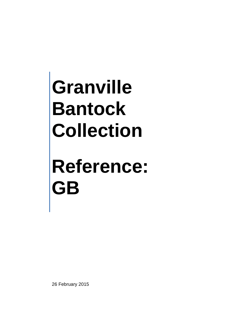## **Reference: GB**

26 February 2015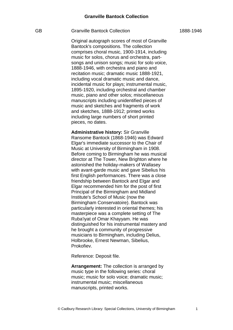Original autograph scores of most of Granville Bantock's compositions. The collection comprises choral music, 1900-1914, including music for solos, chorus and orchestra, partsongs and unison songs; music for solo voice, 1888-1946, with orchestra and piano and recitation music; dramatic music 1888-1921, including vocal dramatic music and dance, incidental music for plays; instrumental music, 1895-1920, including orchestral and chamber music, piano and other solos; miscellaneous manuscripts including unidentified pieces of music and sketches and fragments of work and sketches, 1888-1912; printed works including large numbers of short printed pieces, no dates.

**Administrative history:** Sir Granville Ransome Bantock (1868-1946) was Edward Elgar's immediate successor to the Chair of Music at University of Birmingham in 1908. Before coming to Birmingham he was musical director at The Tower, New Brighton where he astonished the holiday-makers of Wallasey with avant-garde music and gave Sibelius his first English performances. There was a close friendship between Bantock and Elgar and Elgar recommended him for the post of first Principal of the Birmingham and Midland Institute's School of Music (now the Birmingham Conservatoire). Bantock was particularly interested in oriental themes; his masterpiece was a complete setting of The Ruba'iyat of Omar Khayyam. He was distinguished for his instrumental mastery and he brought a community of progressive musicians to Birmingham, including Delius, Holbrooke, Ernest Newman, Sibelius, Prokofiev.

Reference: Deposit file.

**Arrangement:** The collection is arranged by music type in the following series: choral music; music for solo voice; dramatic music; instrumental music; miscellaneous manuscripts, printed works.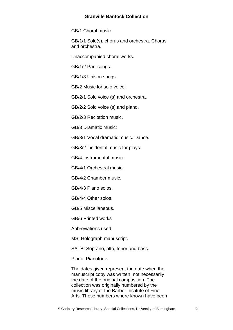GB/1 Choral music:

GB/1/1 Solo(s), chorus and orchestra. Chorus and orchestra.

Unaccompanied choral works.

GB/1/2 Part-songs.

GB/1/3 Unison songs.

GB/2 Music for solo voice:

GB/2/1 Solo voice (s) and orchestra.

GB/2/2 Solo voice (s) and piano.

GB/2/3 Recitation music.

GB/3 Dramatic music:

GB/3/1 Vocal dramatic music. Dance.

GB/3/2 Incidental music for plays.

GB/4 Instrumental music:

GB/4/1 Orchestral music.

GB/4/2 Chamber music.

GB/4/3 Piano solos.

GB/4/4 Other solos.

GB/5 Miscellaneous.

GB/6 Printed works

Abbreviations used:

MS: Holograph manuscript.

SATB: Soprano, alto, tenor and bass.

Piano: Pianoforte.

The dates given represent the date when the manuscript copy was written, not necessarily the date of the original composition. The collection was originally numbered by the music library of the Barber Institute of Fine Arts. These numbers where known have been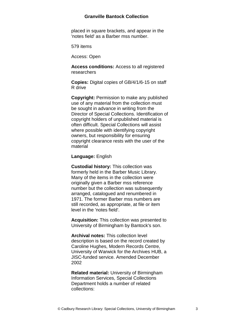placed in square brackets, and appear in the 'notes field' as a Barber mss number.

579 items

Access: Open

**Access conditions:** Access to all registered researchers

**Copies:** Digital copies of GB/4/1/6-15 on staff R drive

**Copyright:** Permission to make any published use of any material from the collection must be sought in advance in writing from the Director of Special Collections. Identification of copyright holders of unpublished material is often difficult. Special Collections will assist where possible with identifying copyright owners, but responsibility for ensuring copyright clearance rests with the user of the material

**Language:** English

**Custodial history:** This collection was formerly held in the Barber Music Library. Many of the items in the collection were originally given a Barber mss reference number but the collection was subsequently arranged, catalogued and renumbered in 1971. The former Barber mss numbers are still recorded, as appropriate, at file or item level in the 'notes field'.

**Acquisition:** This collection was presented to University of Birmingham by Bantock's son.

**Archival notes:** This collection level description is based on the record created by Caroline Hughes, Modern Records Centre, University of Warwick for the Archives HUB, a JISC-funded service. Amended December 2002

**Related material:** University of Birmingham Information Services, Special Collections Department holds a number of related collections: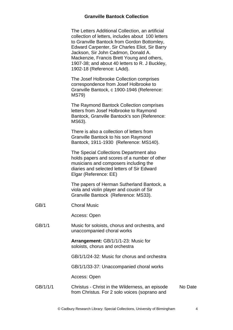| The Letters Additional Collection, an artificial  |
|---------------------------------------------------|
| collection of letters, includes about 100 letters |
| to Granville Bantock from Gordon Bottomley,       |
| Edward Carpenter, Sir Charles Eliot, Sir Barry    |
| Jackson, Sir John Cadmon, Donald A.               |
| Mackenzie, Francis Brett Young and others,        |
| 1907-38; and about 40 letters to R. J Buckley,    |
| 1902-18 (Reference: LAdd).                        |
|                                                   |

The Josef Holbrooke Collection comprises correspondence from Josef Holbrooke to Granville Bantock, c 1900-1946 (Reference: MS79)

The Raymond Bantock Collection comprises letters from Josef Holbrooke to Raymond Bantock, Granville Bantock's son (Reference: MS63).

There is also a collection of letters from Granville Bantock to his son Raymond Bantock, 1911-1930 (Reference: MS140).

The Special Collections Department also holds papers and scores of a number of other musicians and composers including the diaries and selected letters of Sir Edward Elgar (Reference: EE)

The papers of Herman Sutherland Bantock, a viola and violin player and cousin of Sir Granville Bantock (Reference: MS33).

GB/1 Choral Music

Access: Open

GB/1/1 Music for soloists, chorus and orchestra, and unaccompanied choral works

> **Arrangement:** GB/1/1/1-23: Music for soloists, chorus and orchestra

GB/1/1/24-32: Music for chorus and orchestra

GB/1/1/33-37: Unaccompanied choral works

Access: Open

#### GB/1/1/1 Christus - Christ in the Wilderness, an episode from Christus. For 2 solo voices (soprano and No Date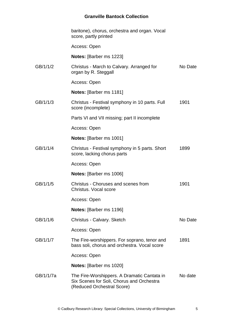|           | baritone), chorus, orchestra and organ. Vocal<br>score, partly printed                       |         |
|-----------|----------------------------------------------------------------------------------------------|---------|
|           | Access: Open                                                                                 |         |
|           | Notes: [Barber ms 1223]                                                                      |         |
| GB/1/1/2  | Christus - March to Calvary. Arranged for<br>organ by R. Steggall                            | No Date |
|           | Access: Open                                                                                 |         |
|           | Notes: [Barber ms 1181]                                                                      |         |
| GB/1/1/3  | Christus - Festival symphony in 10 parts. Full<br>score (incomplete)                         | 1901    |
|           | Parts VI and VII missing; part II incomplete                                                 |         |
|           | Access: Open                                                                                 |         |
|           | <b>Notes:</b> [Barber ms 1001]                                                               |         |
| GB/1/1/4  | Christus - Festival symphony in 5 parts. Short<br>score, lacking chorus parts                | 1899    |
|           | Access: Open                                                                                 |         |
|           | <b>Notes:</b> [Barber ms 1006]                                                               |         |
| GB/1/1/5  | Christus - Choruses and scenes from<br>Christus, Vocal score                                 | 1901    |
|           | Access: Open                                                                                 |         |
|           | Notes: [Barber ms 1196]                                                                      |         |
| GB/1/1/6  | Christus - Calvary. Sketch                                                                   | No Date |
|           | Access: Open                                                                                 |         |
| GB/1/1/7  | The Fire-worshippers. For soprano, tenor and<br>bass soli, chorus and orchestra. Vocal score | 1891    |
|           | Access: Open                                                                                 |         |
|           | <b>Notes:</b> [Barber ms 1020]                                                               |         |
| GB/1/1/7a | The Fire-Worshippers. A Dramatic Cantata in<br>Six Scenes for Soli, Chorus and Orchestra     | No date |

(Reduced Orchestral Score)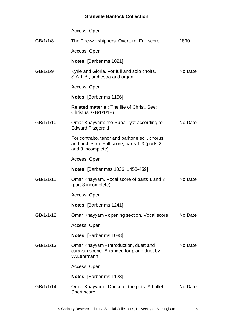|           | Access: Open                                                                                                          |         |
|-----------|-----------------------------------------------------------------------------------------------------------------------|---------|
| GB/1/1/8  | The Fire-worshippers. Overture. Full score                                                                            | 1890    |
|           | Access: Open                                                                                                          |         |
|           | <b>Notes:</b> [Barber ms 1021]                                                                                        |         |
| GB/1/1/9  | Kyrie and Gloria. For full and solo choirs,<br>S.A.T.B., orchestra and organ                                          | No Date |
|           | Access: Open                                                                                                          |         |
|           | <b>Notes:</b> [Barber ms 1156]                                                                                        |         |
|           | <b>Related material: The life of Christ. See:</b><br>Christus, GB/1/1/1-6                                             |         |
| GB/1/1/10 | Omar Khayyam: the Ruba `iyat according to<br><b>Edward Fitzgerald</b>                                                 | No Date |
|           | For contralto, tenor and baritone soli, chorus<br>and orchestra. Full score, parts 1-3 (parts 2)<br>and 3 incomplete) |         |
|           | Access: Open                                                                                                          |         |
|           | <b>Notes:</b> [Barber mss 1036, 1458-459]                                                                             |         |
| GB/1/1/11 | Omar Khayyam. Vocal score of parts 1 and 3<br>(part 3 incomplete)                                                     | No Date |
|           | Access: Open                                                                                                          |         |
|           | Notes: [Barber ms 1241]                                                                                               |         |
| GB/1/1/12 | Omar Khayyam - opening section. Vocal score                                                                           | No Date |
|           | Access: Open                                                                                                          |         |
|           | <b>Notes:</b> [Barber ms 1088]                                                                                        |         |
| GB/1/1/13 | Omar Khayyam - Introduction, duett and<br>caravan scene. Arranged for piano duet by<br>W.Lehrmann                     | No Date |
|           | Access: Open                                                                                                          |         |
|           | <b>Notes:</b> [Barber ms 1128]                                                                                        |         |
| GB/1/1/14 | Omar Khayyam - Dance of the pots. A ballet.<br>Short score                                                            | No Date |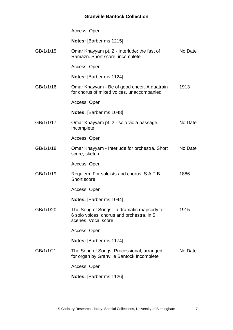|           | Access: Open                                                                                                    |         |
|-----------|-----------------------------------------------------------------------------------------------------------------|---------|
|           | Notes: [Barber ms 1215]                                                                                         |         |
| GB/1/1/15 | Omar Khayyam pt. 2 - Interlude: the fast of<br>Ramazn. Short score, incomplete                                  | No Date |
|           | Access: Open                                                                                                    |         |
|           | <b>Notes:</b> [Barber ms 1124]                                                                                  |         |
| GB/1/1/16 | Omar Khayyam - Be of good cheer. A quatrain<br>for chorus of mixed voices, unaccompanied                        | 1913    |
|           | Access: Open                                                                                                    |         |
|           | <b>Notes:</b> [Barber ms 1048]                                                                                  |         |
| GB/1/1/17 | Omar Khayyam pt. 2 - solo viola passage.<br>Incomplete                                                          | No Date |
|           | Access: Open                                                                                                    |         |
| GB/1/1/18 | Omar Khayyam - Interlude for orchestra. Short<br>score, sketch                                                  | No Date |
|           | Access: Open                                                                                                    |         |
| GB/1/1/19 | Requiem. For soloists and chorus, S.A.T.B.<br>Short score                                                       | 1886    |
|           | Access: Open                                                                                                    |         |
|           | Notes: [Barber ms 1044]                                                                                         |         |
| GB/1/1/20 | The Song of Songs - a dramatic rhapsody for<br>6 solo voices, chorus and orchestra, in 5<br>scenes. Vocal score | 1915    |
|           | Access: Open                                                                                                    |         |
|           | <b>Notes:</b> [Barber ms 1174]                                                                                  |         |
| GB/1/1/21 | The Song of Songs. Processional, arranged<br>for organ by Granville Bantock Incomplete                          | No Date |
|           | Access: Open                                                                                                    |         |
|           | <b>Notes:</b> [Barber ms 1126]                                                                                  |         |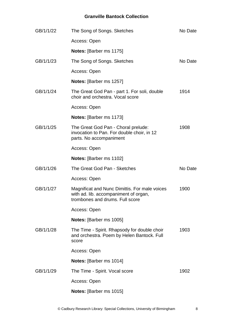| GB/1/1/22 | The Song of Songs. Sketches                                                                                               | No Date |
|-----------|---------------------------------------------------------------------------------------------------------------------------|---------|
|           | Access: Open                                                                                                              |         |
|           | Notes: [Barber ms 1175]                                                                                                   |         |
| GB/1/1/23 | The Song of Songs. Sketches                                                                                               | No Date |
|           | Access: Open                                                                                                              |         |
|           | <b>Notes:</b> [Barber ms 1257]                                                                                            |         |
| GB/1/1/24 | The Great God Pan - part 1. For soli, double<br>choir and orchestra. Vocal score                                          | 1914    |
|           | Access: Open                                                                                                              |         |
|           | <b>Notes: [Barber ms 1173]</b>                                                                                            |         |
| GB/1/1/25 | The Great God Pan - Choral prelude:<br>invocation to Pan. For double choir, in 12<br>parts. No accompaniment              | 1908    |
|           | Access: Open                                                                                                              |         |
|           | <b>Notes:</b> [Barber ms 1102]                                                                                            |         |
| GB/1/1/26 | The Great God Pan - Sketches                                                                                              | No Date |
|           | Access: Open                                                                                                              |         |
| GB/1/1/27 | Magnificat and Nunc Dimittis. For male voices<br>with ad. lib. accompaniment of organ,<br>trombones and drums. Full score | 1900    |
|           | Access: Open                                                                                                              |         |
|           | Notes: [Barber ms 1005]                                                                                                   |         |
| GB/1/1/28 | The Time - Spirit. Rhapsody for double choir<br>and orchestra. Poem by Helen Bantock. Full<br>score                       | 1903    |
|           | Access: Open                                                                                                              |         |
|           | Notes: [Barber ms 1014]                                                                                                   |         |
| GB/1/1/29 | The Time - Spirit. Vocal score                                                                                            | 1902    |
|           | Access: Open                                                                                                              |         |
|           | <b>Notes:</b> [Barber ms 1015]                                                                                            |         |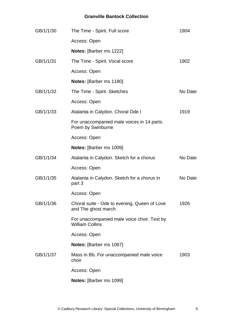| GB/1/1/30 | The Time - Spirit. Full score                                         | 1904    |
|-----------|-----------------------------------------------------------------------|---------|
|           | Access: Open                                                          |         |
|           | Notes: [Barber ms 1222]                                               |         |
| GB/1/1/31 | The Time - Spirit. Vocal score                                        | 1902    |
|           | Access: Open                                                          |         |
|           | Notes: [Barber ms 1180]                                               |         |
| GB/1/1/32 | The Time - Spirit. Sketches                                           | No Date |
|           | Access: Open                                                          |         |
| GB/1/1/33 | Atalanta in Calydon. Choral Ode I                                     | 1919    |
|           | For unaccompanied male voices in 14 parts.<br>Poem by Swinburne       |         |
|           | Access: Open                                                          |         |
|           | Notes: [Barber ms 1009]                                               |         |
| GB/1/1/34 | Atalanta in Calydon. Sketch for a chorus                              | No Date |
|           | Access: Open                                                          |         |
| GB/1/1/35 | Atalanta in Calydon. Sketch for a chorus in<br>part 3                 | No Date |
|           | Access: Open                                                          |         |
| GB/1/1/36 | Choral suite - Ode to evening, Queen of Love<br>and The ghost march   | 1926    |
|           | For unaccompanied male voice choir. Text by<br><b>William Collins</b> |         |
|           | Access: Open                                                          |         |
|           | Notes: [Barber ms 1067]                                               |         |
| GB/1/1/37 | Mass in Bb. For unaccompanied male voice<br>choir                     | 1903    |
|           | Access: Open                                                          |         |
|           | Notes: [Barber ms 1099]                                               |         |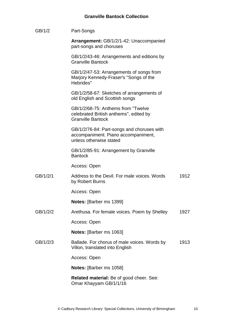| GB/1/2   | Part-Songs                                                                                                   |      |
|----------|--------------------------------------------------------------------------------------------------------------|------|
|          | Arrangement: GB/1/2/1-42: Unaccompanied<br>part-songs and choruses                                           |      |
|          | GB/1/2/43-46: Arrangements and editions by<br><b>Granville Bantock</b>                                       |      |
|          | GB/1/2/47-53: Arrangements of songs from<br>Marjory Kennedy-Fraser's "Songs of the<br>Hebrides"              |      |
|          | GB/1/2/58-67: Sketches of arrangements of<br>old English and Scottish songs                                  |      |
|          | GB/1/2/68-75: Anthems from "Twelve<br>celebrated British anthems", edited by<br><b>Granville Bantock</b>     |      |
|          | GB/1/2/76-84: Part-songs and choruses with<br>accompaniment. Piano accompaniment,<br>unless otherwise stated |      |
|          | GB/1/2/85-91: Arrangement by Granville<br><b>Bantock</b>                                                     |      |
|          | Access: Open                                                                                                 |      |
| GB/1/2/1 | Address to the Devil. For male voices, Words<br>by Robert Burns                                              | 1912 |
|          | Access: Open                                                                                                 |      |
|          | Notes: [Barber ms 1399]                                                                                      |      |
| GB/1/2/2 | Arethusa. For female voices. Poem by Shelley                                                                 | 1927 |
|          | Access: Open                                                                                                 |      |
|          | Notes: [Barber ms 1063]                                                                                      |      |
| GB/1/2/3 | Ballade. For chorus of male voices. Words by<br>Villon, translated into English                              | 1913 |
|          | Access: Open                                                                                                 |      |
|          | <b>Notes:</b> [Barber ms 1058]                                                                               |      |
|          | Related material: Be of good cheer. See:<br>Omar Khayyam GB/1/1/16                                           |      |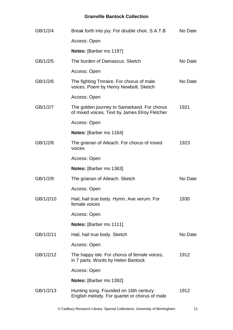| GB/1/2/4  | Break forth into joy. For double choir, S.A.T.B                                              | No Date |
|-----------|----------------------------------------------------------------------------------------------|---------|
|           | Access: Open                                                                                 |         |
|           | Notes: [Barber ms 1197]                                                                      |         |
| GB/1/2/5  | The burden of Damascus. Sketch                                                               | No Date |
|           | Access: Open                                                                                 |         |
| GB/1/2/6  | The fighting Tmraire. For chorus of male<br>voices. Poem by Henry Newbolt. Sketch            | No Date |
|           | Access: Open                                                                                 |         |
| GB/1/2/7  | The golden journey to Samarkand. For chorus<br>of mixed voices. Text by James Elroy Fletcher | 1921    |
|           | Access: Open                                                                                 |         |
|           | Notes: [Barber ms 1164]                                                                      |         |
| GB/1/2/8  | The grianan of Aileach. For chorus of mixed<br>voices                                        | 1923    |
|           | Access: Open                                                                                 |         |
|           | Notes: [Barber ms 1363]                                                                      |         |
| GB/1/2/9  | The grianan of Aileach. Sketch                                                               | No Date |
|           | Access: Open                                                                                 |         |
| GB/1/2/10 | Hail, hail true body. Hymn, Ave verum. For<br>female voices                                  | 1930    |
|           | Access: Open                                                                                 |         |
|           | Notes: [Barber ms 1111]                                                                      |         |
| GB/1/2/11 | Hail, hail true body. Sketch                                                                 | No Date |
|           | Access: Open                                                                                 |         |
| GB/1/2/12 | The happy isle. For chorus of female voices,<br>in 7 parts. Words by Helen Bantock           | 1912    |
|           | Access: Open                                                                                 |         |
|           | <b>Notes:</b> [Barber ms 1392]                                                               |         |
| GB/1/2/13 | Hunting song. Founded on 16th century<br>English melody. For quartet or chorus of male       | 1912    |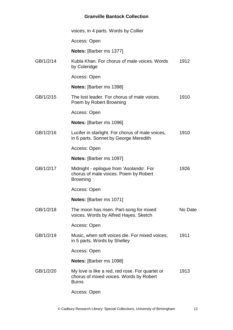|           | voices, in 4 parts. Words by Collier                                                                       |         |
|-----------|------------------------------------------------------------------------------------------------------------|---------|
|           | Access: Open                                                                                               |         |
|           | Notes: [Barber ms 1377]                                                                                    |         |
| GB/1/2/14 | Kubla Khan. For chorus of male voices. Words<br>by Coleridge                                               | 1912    |
|           | Access: Open                                                                                               |         |
|           | Notes: [Barber ms 1398]                                                                                    |         |
| GB/1/2/15 | The lost leader. For chorus of male voices.<br>Poem by Robert Browning                                     | 1910    |
|           | Access: Open                                                                                               |         |
|           | <b>Notes:</b> [Barber ms 1096]                                                                             |         |
| GB/1/2/16 | Lucifer in starlight. For chorus of male voices,<br>in 6 parts. Sonnet by George Meredith                  | 1910    |
|           | Access: Open                                                                                               |         |
|           | Notes: [Barber ms 1097]                                                                                    |         |
| GB/1/2/17 | Midnight - epilogue from 'Asolando'. For<br>chorus of male voices. Poem by Robert<br><b>Browning</b>       | 1926    |
|           | Access: Open                                                                                               |         |
|           | Notes: [Barber ms 1071]                                                                                    |         |
| GB/1/2/18 | The moon has risen. Part-song for mixed<br>voices. Words by Alfred Hayes. Sketch                           | No Date |
|           | Access: Open                                                                                               |         |
| GB/1/2/19 | Music, when soft voices die. For mixed voices,<br>in 5 parts. Words by Shelley                             | 1911    |
|           | Access: Open                                                                                               |         |
|           | <b>Notes:</b> [Barber ms 1098]                                                                             |         |
| GB/1/2/20 | My love is like a red, red rose. For quartet or<br>chorus of mixed voices. Words by Robert<br><b>Burns</b> | 1913    |
|           | Access: Open                                                                                               |         |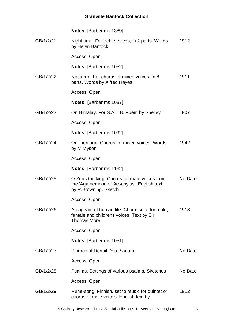|           | <b>Notes:</b> [Barber ms 1389]                                                                                      |         |
|-----------|---------------------------------------------------------------------------------------------------------------------|---------|
| GB/1/2/21 | Night time. For treble voices, in 2 parts. Words<br>by Helen Bantock                                                | 1912    |
|           | Access: Open                                                                                                        |         |
|           | Notes: [Barber ms 1052]                                                                                             |         |
| GB/1/2/22 | Nocturne. For chorus of mixed voices, in 6<br>parts. Words by Alfred Hayes                                          | 1911    |
|           | Access: Open                                                                                                        |         |
|           | <b>Notes:</b> [Barber ms 1087]                                                                                      |         |
| GB/1/2/23 | On Himalay. For S.A.T.B. Poem by Shelley                                                                            | 1907    |
|           | Access: Open                                                                                                        |         |
|           | Notes: [Barber ms 1092]                                                                                             |         |
| GB/1/2/24 | Our heritage. Chorus for mixed voices. Words<br>by M.Myson                                                          | 1942    |
|           | Access: Open                                                                                                        |         |
|           | Notes: [Barber ms 1132]                                                                                             |         |
| GB/1/2/25 | O Zeus the king. Chorus for male voices from<br>the 'Agamemnon of Aeschylus'. English text<br>by R.Browning. Sketch | No Date |
|           | Access: Open                                                                                                        |         |
| GB/1/2/26 | A pageant of human life. Choral suite for male,<br>female and childrens voices. Text by Sir<br><b>Thomas More</b>   | 1913    |
|           | Access: Open                                                                                                        |         |
|           | <b>Notes:</b> [Barber ms 1051]                                                                                      |         |
| GB/1/2/27 | Pibroch of Donuil Dhu, Sketch                                                                                       | No Date |
|           | Access: Open                                                                                                        |         |
| GB/1/2/28 | Psalms. Settings of various psalms. Sketches                                                                        | No Date |
|           | Access: Open                                                                                                        |         |
| GB/1/2/29 | Rune-song, Finnish, set to music for quintet or<br>chorus of male voices. English text by                           | 1912    |
|           |                                                                                                                     |         |

© Cadbury Research Library: Special Collections, University of Birmingham 13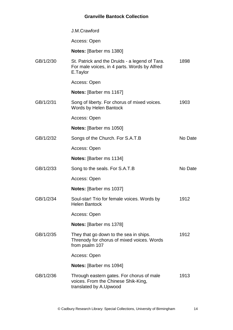J.M.Crawford

Access: Open

**Notes:** [Barber ms 1380]

GB/1/2/30 St. Patrick and the Druids - a legend of Tara. For male voices, in 4 parts. Words by Alfred E.Taylor 1898

Access: Open

**Notes:** [Barber ms 1167]

GB/1/2/31 Song of liberty. For chorus of mixed voices. Words by Helen Bantock 1903

Access: Open

**Notes:** [Barber ms 1050]

GB/1/2/32 Songs of the Church. For S.A.T.B Access: Open **Notes:** [Barber ms 1134] No Date GB/1/2/33 Song to the seals. For S.A.T.B Access: Open **Notes:** [Barber ms 1037] No Date GB/1/2/34 Soul-star! Trio for female voices. Words by Helen Bantock Access: Open **Notes:** [Barber ms 1378] 1912 GB/1/2/35 They that go down to the sea in ships. Threnody for chorus of mixed voices. Words from psalm 107 Access: Open **Notes:** [Barber ms 1094] 1912 GB/1/2/36 Through eastern gates. For chorus of male voices. From the Chinese Shik-King, translated by A.Upwood 1913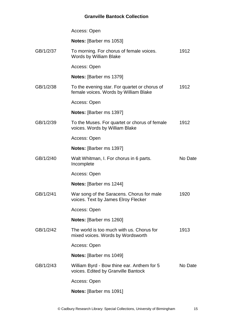|           | Access: Open                                                                           |         |
|-----------|----------------------------------------------------------------------------------------|---------|
|           | Notes: [Barber ms 1053]                                                                |         |
| GB/1/2/37 | To morning. For chorus of female voices.<br>Words by William Blake                     | 1912    |
|           | Access: Open                                                                           |         |
|           | <b>Notes:</b> [Barber ms 1379]                                                         |         |
| GB/1/2/38 | To the evening star. For quartet or chorus of<br>female voices. Words by William Blake | 1912    |
|           | Access: Open                                                                           |         |
|           | <b>Notes:</b> [Barber ms 1397]                                                         |         |
| GB/1/2/39 | To the Muses. For quartet or chorus of female<br>voices. Words by William Blake        | 1912    |
|           | Access: Open                                                                           |         |
|           | <b>Notes:</b> [Barber ms 1397]                                                         |         |
| GB/1/2/40 | Walt Whitman, I. For chorus in 6 parts.<br>Incomplete                                  | No Date |
|           | Access: Open                                                                           |         |
|           | Notes: [Barber ms 1244]                                                                |         |
| GB/1/2/41 | War song of the Saracens. Chorus for male<br>voices. Text by James Elroy Flecker       | 1920    |
|           | Access: Open                                                                           |         |
|           | <b>Notes:</b> [Barber ms 1260]                                                         |         |
| GB/1/2/42 | The world is too much with us. Chorus for<br>mixed voices. Words by Wordsworth         | 1913    |
|           | Access: Open                                                                           |         |
|           | <b>Notes:</b> [Barber ms 1049]                                                         |         |
| GB/1/2/43 | William Byrd - Bow thine ear. Anthem for 5<br>voices. Edited by Granville Bantock      | No Date |
|           | Access: Open                                                                           |         |
|           | <b>Notes:</b> [Barber ms 1091]                                                         |         |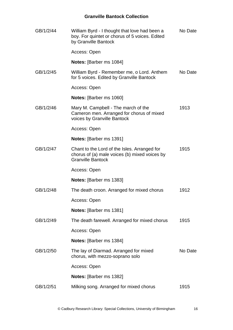| GB/1/2/44 | William Byrd - I thought that love had been a<br>boy. For quintet or chorus of 5 voices. Edited<br>by Granville Bantock   | No Date |
|-----------|---------------------------------------------------------------------------------------------------------------------------|---------|
|           | Access: Open                                                                                                              |         |
|           | <b>Notes:</b> [Barber ms 1084]                                                                                            |         |
| GB/1/2/45 | William Byrd - Remember me, o Lord. Anthem<br>for 5 voices. Edited by Granville Bantock                                   | No Date |
|           | Access: Open                                                                                                              |         |
|           | <b>Notes:</b> [Barber ms 1060]                                                                                            |         |
| GB/1/2/46 | Mary M. Campbell - The march of the<br>Cameron men. Arranged for chorus of mixed<br>voices by Granville Bantock           | 1913    |
|           | Access: Open                                                                                                              |         |
|           | <b>Notes:</b> [Barber ms 1391]                                                                                            |         |
| GB/1/2/47 | Chant to the Lord of the Isles. Arranged for<br>chorus of (a) male voices (b) mixed voices by<br><b>Granville Bantock</b> | 1915    |
|           | Access: Open                                                                                                              |         |
|           | <b>Notes:</b> [Barber ms 1383]                                                                                            |         |
| GB/1/2/48 | The death croon. Arranged for mixed chorus                                                                                | 1912    |
|           | Access: Open                                                                                                              |         |
|           | <b>Notes:</b> [Barber ms 1381]                                                                                            |         |
| GB/1/2/49 | The death farewell. Arranged for mixed chorus                                                                             | 1915    |
|           | Access: Open                                                                                                              |         |
|           | <b>Notes:</b> [Barber ms 1384]                                                                                            |         |
| GB/1/2/50 | The lay of Diarmad. Arranged for mixed<br>chorus, with mezzo-soprano solo                                                 | No Date |
|           | Access: Open                                                                                                              |         |
|           | <b>Notes:</b> [Barber ms 1382]                                                                                            |         |
| GB/1/2/51 | Milking song. Arranged for mixed chorus                                                                                   | 1915    |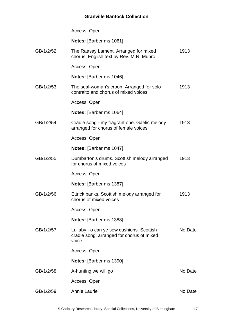|           | Access: Open                                                                                    |         |
|-----------|-------------------------------------------------------------------------------------------------|---------|
|           | Notes: [Barber ms 1061]                                                                         |         |
| GB/1/2/52 | The Raasay Lament. Arranged for mixed<br>chorus. English text by Rev. M.N. Munro                | 1913    |
|           | Access: Open                                                                                    |         |
|           | <b>Notes:</b> [Barber ms 1046]                                                                  |         |
| GB/1/2/53 | The seal-woman's croon. Arranged for solo<br>contralto and chorus of mixed voices               | 1913    |
|           | Access: Open                                                                                    |         |
|           | <b>Notes:</b> [Barber ms 1064]                                                                  |         |
| GB/1/2/54 | Cradle song - my fragrant one. Gaelic melody<br>arranged for chorus of female voices            | 1913    |
|           | Access: Open                                                                                    |         |
|           | <b>Notes:</b> [Barber ms 1047]                                                                  |         |
| GB/1/2/55 | Dumbarton's drums. Scottish melody arranged<br>for chorus of mixed voices                       | 1913    |
|           | Access: Open                                                                                    |         |
|           | <b>Notes:</b> [Barber ms 1387]                                                                  |         |
| GB/1/2/56 | Ettrick banks. Scottish melody arranged for<br>chorus of mixed voices                           | 1913    |
|           | Access: Open                                                                                    |         |
|           | <b>Notes:</b> [Barber ms 1388]                                                                  |         |
| GB/1/2/57 | Lullaby - o can ye sew cushions. Scottish<br>cradle song, arranged for chorus of mixed<br>voice | No Date |
|           | Access: Open                                                                                    |         |
|           | <b>Notes:</b> [Barber ms 1390]                                                                  |         |
| GB/1/2/58 | A-hunting we will go                                                                            | No Date |
|           | Access: Open                                                                                    |         |
| GB/1/2/59 | Annie Laurie                                                                                    | No Date |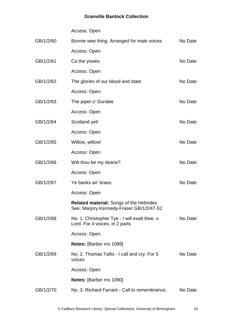Access: Open

| GB/1/2/60 | Bonnie wee thing. Arranged for male voices                                           | No Date |
|-----------|--------------------------------------------------------------------------------------|---------|
|           | Access: Open                                                                         |         |
| GB/1/2/61 | Ca the yowes                                                                         | No Date |
|           | Access: Open                                                                         |         |
| GB/1/2/62 | The glories of our blood and state                                                   | No Date |
|           | Access: Open                                                                         |         |
| GB/1/2/63 | The piper o' Dundee                                                                  | No Date |
|           | Access: Open                                                                         |         |
| GB/1/2/64 | Scotland yet!                                                                        | No Date |
|           | Access: Open                                                                         |         |
| GB/1/2/65 | Willow, willow!                                                                      | No Date |
|           | Access: Open                                                                         |         |
| GB/1/2/66 | Wilt thou be my dearie?                                                              | No Date |
|           | Access: Open                                                                         |         |
| GB/1/2/67 | Ye banks an' braes                                                                   | No Date |
|           | Access: Open                                                                         |         |
|           | Related material: Songs of the Hebrides.<br>See: Marjory Kennedy-Fraser GB/1/2/47-52 |         |
| GB/1/2/68 | No. 1. Christopher Tye - I will exalt thee, o<br>Lord. For 4 voices, in 2 parts      | No Date |
|           | Access: Open                                                                         |         |
|           | <b>Notes:</b> [Barber ms 1089]                                                       |         |
| GB/1/2/69 | No. 2. Thomas Tallis - I call and cry. For 5<br>voices                               | No Date |
|           | Access: Open                                                                         |         |
|           | <b>Notes:</b> [Barber ms 1090]                                                       |         |
| GB/1/2/70 | No. 3. Richard Farrant - Call to remembrance.                                        | No Date |
|           |                                                                                      |         |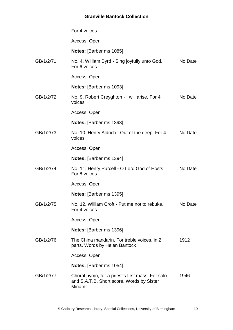For 4 voices Access: Open **Notes:** [Barber ms 1085] GB/1/2/71 No. 4. William Byrd - Sing joyfully unto God. For 6 voices Access: Open **Notes:** [Barber ms 1093] No Date GB/1/2/72 No. 9. Robert Creyghton - I will arise. For 4 voices Access: Open **Notes:** [Barber ms 1393] No Date GB/1/2/73 No. 10. Henry Aldrich - Out of the deep. For 4 voices Access: Open **Notes:** [Barber ms 1394] No Date GB/1/2/74 No. 11. Henry Purcell - O Lord God of Hosts. For 8 voices Access: Open **Notes:** [Barber ms 1395] No Date GB/1/2/75 No. 12. William Croft - Put me not to rebuke. For 4 voices Access: Open **Notes:** [Barber ms 1396] No Date GB/1/2/76 The China mandarin. For treble voices, in 2 parts. Words by Helen Bantock Access: Open **Notes:** [Barber ms 1054] 1912 GB/1/2/77 Choral hymn, for a priest's first mass. For solo and S.A.T.B. Short score. Words by Sister Miriam 1946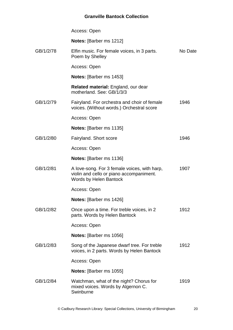|           | Access: Open                                                                                                       |         |
|-----------|--------------------------------------------------------------------------------------------------------------------|---------|
|           | <b>Notes:</b> [Barber ms 1212]                                                                                     |         |
| GB/1/2/78 | Elfin music. For female voices, in 3 parts.<br>Poem by Shelley                                                     | No Date |
|           | Access: Open                                                                                                       |         |
|           | <b>Notes:</b> [Barber ms 1453]                                                                                     |         |
|           | Related material: England, our dear<br>motherland. See: GB/1/3/3                                                   |         |
| GB/1/2/79 | Fairyland. For orchestra and choir of female<br>voices. (Without words.) Orchestral score                          | 1946    |
|           | Access: Open                                                                                                       |         |
|           | Notes: [Barber ms 1135]                                                                                            |         |
| GB/1/2/80 | Fairyland. Short score                                                                                             | 1946    |
|           | Access: Open                                                                                                       |         |
|           | <b>Notes:</b> [Barber ms 1136]                                                                                     |         |
| GB/1/2/81 | A love-song. For 3 female voices, with harp,<br>violin and cello or piano accompaniment.<br>Words by Helen Bantock | 1907    |
|           | Access: Open                                                                                                       |         |
|           | <b>Notes:</b> [Barber ms 1426]                                                                                     |         |
| GB/1/2/82 | Once upon a time. For treble voices, in 2<br>parts. Words by Helen Bantock                                         | 1912    |
|           | Access: Open                                                                                                       |         |
|           | <b>Notes:</b> [Barber ms 1056]                                                                                     |         |
| GB/1/2/83 | Song of the Japanese dwarf tree. For treble<br>voices, in 2 parts. Words by Helen Bantock                          | 1912    |
|           | Access: Open                                                                                                       |         |
|           | <b>Notes:</b> [Barber ms 1055]                                                                                     |         |
| GB/1/2/84 | Watchman, what of the night? Chorus for<br>mixed voices. Words by Algernon C.<br>Swinburne                         | 1919    |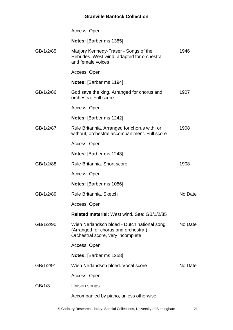|           | Access: Open                                                                                                              |         |
|-----------|---------------------------------------------------------------------------------------------------------------------------|---------|
|           | <b>Notes:</b> [Barber ms 1385]                                                                                            |         |
| GB/1/2/85 | Marjory Kennedy-Fraser - Songs of the<br>Hebrides. West wind, adapted for orchestra<br>and female voices                  | 1946    |
|           | Access: Open                                                                                                              |         |
|           | <b>Notes:</b> [Barber ms 1194]                                                                                            |         |
| GB/1/2/86 | God save the king. Arranged for chorus and<br>orchestra. Full score                                                       | 1907    |
|           | Access: Open                                                                                                              |         |
|           | <b>Notes:</b> [Barber ms 1242]                                                                                            |         |
| GB/1/2/87 | Rule Britannia. Arranged for chorus with, or<br>without, orchestral accompaniment. Full score                             | 1908    |
|           | Access: Open                                                                                                              |         |
|           | <b>Notes:</b> [Barber ms 1243]                                                                                            |         |
| GB/1/2/88 | Rule Britannia, Short score                                                                                               | 1908    |
|           | Access: Open                                                                                                              |         |
|           | <b>Notes:</b> [Barber ms 1086]                                                                                            |         |
| GB/1/2/89 | Rule Britannia. Sketch                                                                                                    | No Date |
|           | Access: Open                                                                                                              |         |
|           | <b>Related material: West wind. See: GB/1/2/85</b>                                                                        |         |
| GB/1/2/90 | Wien Nerlandsch bloed - Dutch national song.<br>(Arranged for chorus and orchestra.)<br>Orchestral score, very incomplete | No Date |
|           | Access: Open                                                                                                              |         |
|           | <b>Notes:</b> [Barber ms 1258]                                                                                            |         |
| GB/1/2/91 | Wien Nerlandsch bloed. Vocal score                                                                                        | No Date |
|           | Access: Open                                                                                                              |         |
| GB/1/3    | Unison songs                                                                                                              |         |
|           | Accompanied by piano, unless otherwise                                                                                    |         |
|           |                                                                                                                           |         |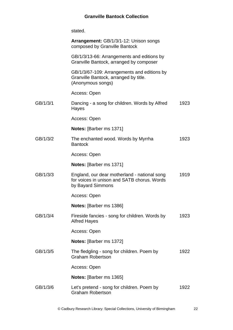|          | stated.                                                                                                          |      |
|----------|------------------------------------------------------------------------------------------------------------------|------|
|          | Arrangement: GB/1/3/1-12: Unison songs<br>composed by Granville Bantock                                          |      |
|          | GB/1/3/13-66: Arrangements and editions by<br>Granville Bantock, arranged by composer                            |      |
|          | GB/1/3/67-109: Arrangements and editions by<br>Granville Bantock, arranged by title.<br>(Anonymous songs)        |      |
|          | Access: Open                                                                                                     |      |
| GB/1/3/1 | Dancing - a song for children. Words by Alfred<br>Hayes                                                          | 1923 |
|          | Access: Open                                                                                                     |      |
|          | <b>Notes:</b> [Barber ms 1371]                                                                                   |      |
| GB/1/3/2 | The enchanted wood. Words by Myrrha<br><b>Bantock</b>                                                            | 1923 |
|          | Access: Open                                                                                                     |      |
|          | <b>Notes:</b> [Barber ms 1371]                                                                                   |      |
| GB/1/3/3 | England, our dear motherland - national song<br>for voices in unison and SATB chorus. Words<br>by Bayard Simmons | 1919 |
|          | Access: Open                                                                                                     |      |
|          | Notes: [Barber ms 1386]                                                                                          |      |
| GB/1/3/4 | Fireside fancies - song for children. Words by<br><b>Alfred Hayes</b>                                            | 1923 |
|          | Access: Open                                                                                                     |      |
|          | <b>Notes: [Barber ms 1372]</b>                                                                                   |      |
| GB/1/3/5 | The fledgling - song for children. Poem by<br><b>Graham Robertson</b>                                            | 1922 |
|          | Access: Open                                                                                                     |      |

**Notes:** [Barber ms 1365]

GB/1/3/6 Let's pretend - song for children. Poem by Graham Robertson 1922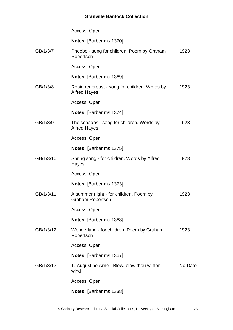|           | Access: Open                                                         |         |
|-----------|----------------------------------------------------------------------|---------|
|           | Notes: [Barber ms 1370]                                              |         |
| GB/1/3/7  | Phoebe - song for children. Poem by Graham<br>Robertson              | 1923    |
|           | Access: Open                                                         |         |
|           | <b>Notes:</b> [Barber ms 1369]                                       |         |
| GB/1/3/8  | Robin redbreast - song for children. Words by<br><b>Alfred Hayes</b> | 1923    |
|           | Access: Open                                                         |         |
|           | Notes: [Barber ms 1374]                                              |         |
| GB/1/3/9  | The seasons - song for children. Words by<br><b>Alfred Hayes</b>     | 1923    |
|           | Access: Open                                                         |         |
|           | <b>Notes:</b> [Barber ms 1375]                                       |         |
| GB/1/3/10 | Spring song - for children. Words by Alfred<br>Hayes                 | 1923    |
|           | Access: Open                                                         |         |
|           | <b>Notes:</b> [Barber ms 1373]                                       |         |
| GB/1/3/11 | A summer night - for children. Poem by<br><b>Graham Robertson</b>    | 1923    |
|           | Access: Open                                                         |         |
|           | Notes: [Barber ms 1368]                                              |         |
| GB/1/3/12 | Wonderland - for children. Poem by Graham<br>Robertson               | 1923    |
|           | Access: Open                                                         |         |
|           | <b>Notes:</b> [Barber ms 1367]                                       |         |
| GB/1/3/13 | T. Augustine Arne - Blow, blow thou winter<br>wind                   | No Date |
|           | Access: Open                                                         |         |
|           | Notes: [Barber ms 1338]                                              |         |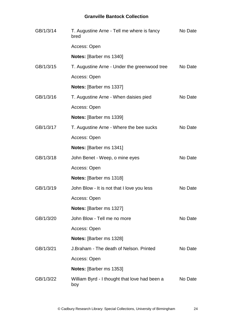| GB/1/3/14 | T. Augustine Arne - Tell me where is fancy<br>bred   | No Date |
|-----------|------------------------------------------------------|---------|
|           | Access: Open                                         |         |
|           | Notes: [Barber ms 1340]                              |         |
| GB/1/3/15 | T. Augustine Arne - Under the greenwood tree         | No Date |
|           | Access: Open                                         |         |
|           | Notes: [Barber ms 1337]                              |         |
| GB/1/3/16 | T. Augustine Arne - When daisies pied                | No Date |
|           | Access: Open                                         |         |
|           | Notes: [Barber ms 1339]                              |         |
| GB/1/3/17 | T. Augustine Arne - Where the bee sucks              | No Date |
|           | Access: Open                                         |         |
|           | Notes: [Barber ms 1341]                              |         |
| GB/1/3/18 | John Benet - Weep, o mine eyes                       | No Date |
|           | Access: Open                                         |         |
|           | Notes: [Barber ms 1318]                              |         |
| GB/1/3/19 | John Blow - It is not that I love you less           | No Date |
|           | Access: Open                                         |         |
|           | Notes: [Barber ms 1327]                              |         |
| GB/1/3/20 | John Blow - Tell me no more                          | No Date |
|           | Access: Open                                         |         |
|           | Notes: [Barber ms 1328]                              |         |
| GB/1/3/21 | J.Braham - The death of Nelson, Printed              | No Date |
|           | Access: Open                                         |         |
|           | <b>Notes:</b> [Barber ms 1353]                       |         |
| GB/1/3/22 | William Byrd - I thought that love had been a<br>boy | No Date |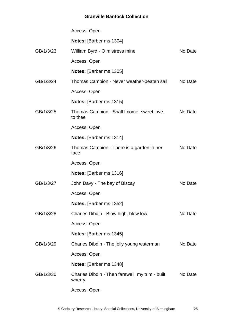|           | Access: Open                                              |         |
|-----------|-----------------------------------------------------------|---------|
|           | Notes: [Barber ms 1304]                                   |         |
| GB/1/3/23 | William Byrd - O mistress mine                            | No Date |
|           | Access: Open                                              |         |
|           | <b>Notes:</b> [Barber ms 1305]                            |         |
| GB/1/3/24 | Thomas Campion - Never weather-beaten sail                | No Date |
|           | Access: Open                                              |         |
|           | <b>Notes:</b> [Barber ms 1315]                            |         |
| GB/1/3/25 | Thomas Campion - Shall I come, sweet love,<br>to thee     | No Date |
|           | Access: Open                                              |         |
|           | <b>Notes:</b> [Barber ms 1314]                            |         |
| GB/1/3/26 | Thomas Campion - There is a garden in her<br>face         | No Date |
|           | Access: Open                                              |         |
|           | Notes: [Barber ms 1316]                                   |         |
| GB/1/3/27 | John Davy - The bay of Biscay                             | No Date |
|           | Access: Open                                              |         |
|           | Notes: [Barber ms 1352]                                   |         |
| GB/1/3/28 | Charles Dibdin - Blow high, blow low                      | No Date |
|           | Access: Open                                              |         |
|           | <b>Notes:</b> [Barber ms 1345]                            |         |
| GB/1/3/29 | Charles Dibdin - The jolly young waterman                 | No Date |
|           | Access: Open                                              |         |
|           | <b>Notes:</b> [Barber ms 1348]                            |         |
| GB/1/3/30 | Charles Dibdin - Then farewell, my trim - built<br>wherry | No Date |
|           | Access: Open                                              |         |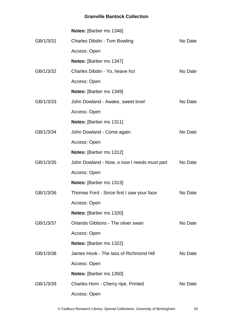|           | <b>Notes:</b> [Barber ms 1346]              |         |
|-----------|---------------------------------------------|---------|
| GB/1/3/31 | <b>Charles Dibdin - Tom Bowling</b>         | No Date |
|           | Access: Open                                |         |
|           | <b>Notes:</b> [Barber ms 1347]              |         |
| GB/1/3/32 | Charles Dibdin - Yo, heave ho!              | No Date |
|           | Access: Open                                |         |
|           | Notes: [Barber ms 1349]                     |         |
| GB/1/3/33 | John Dowland - Awake, sweet love!           | No Date |
|           | Access: Open                                |         |
|           | Notes: [Barber ms 1311]                     |         |
| GB/1/3/34 | John Dowland - Come again                   | No Date |
|           | Access: Open                                |         |
|           | Notes: [Barber ms 1312]                     |         |
| GB/1/3/35 | John Dowland - Now, o now I needs must part | No Date |
|           | Access: Open                                |         |
|           | <b>Notes:</b> [Barber ms 1313]              |         |
| GB/1/3/36 | Thomas Ford - Since first I saw your face   | No Date |
|           | Access: Open                                |         |
|           | Notes: [Barber ms 1320]                     |         |
| GB/1/3/37 | Orlando Gibbons - The silver swan           | No Date |
|           | Access: Open                                |         |
|           | Notes: [Barber ms 1322]                     |         |
| GB/1/3/38 | James Hook - The lass of Richmond Hill      | No Date |
|           | Access: Open                                |         |
|           | <b>Notes:</b> [Barber ms 1350]              |         |
| GB/1/3/39 | Charles Horn - Cherry ripe. Printed         | No Date |
|           | Access: Open                                |         |

© Cadbury Research Library: Special Collections, University of Birmingham 26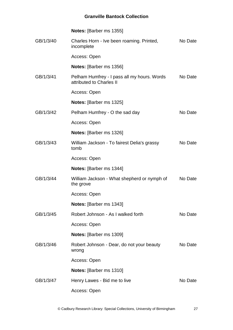|           | <b>Notes:</b> [Barber ms 1355]                                          |         |
|-----------|-------------------------------------------------------------------------|---------|
| GB/1/3/40 | Charles Horn - Ive been roaming. Printed,<br>incomplete                 | No Date |
|           | Access: Open                                                            |         |
|           | <b>Notes:</b> [Barber ms 1356]                                          |         |
| GB/1/3/41 | Pelham Humfrey - I pass all my hours. Words<br>attributed to Charles II | No Date |
|           | Access: Open                                                            |         |
|           | <b>Notes:</b> [Barber ms 1325]                                          |         |
| GB/1/3/42 | Pelham Humfrey - O the sad day                                          | No Date |
|           | Access: Open                                                            |         |
|           | <b>Notes:</b> [Barber ms 1326]                                          |         |
| GB/1/3/43 | William Jackson - To fairest Delia's grassy<br>tomb                     | No Date |
|           | Access: Open                                                            |         |
|           | <b>Notes:</b> [Barber ms 1344]                                          |         |
| GB/1/3/44 | William Jackson - What shepherd or nymph of<br>the grove                | No Date |
|           | Access: Open                                                            |         |
|           | Notes: [Barber ms 1343]                                                 |         |
| GB/1/3/45 | Robert Johnson - As I walked forth                                      | No Date |
|           | Access: Open                                                            |         |
|           | <b>Notes:</b> [Barber ms 1309]                                          |         |
| GB/1/3/46 | Robert Johnson - Dear, do not your beauty<br>wrong                      | No Date |
|           | Access: Open                                                            |         |
|           | Notes: [Barber ms 1310]                                                 |         |
| GB/1/3/47 | Henry Lawes - Bid me to live                                            | No Date |
|           | Access: Open                                                            |         |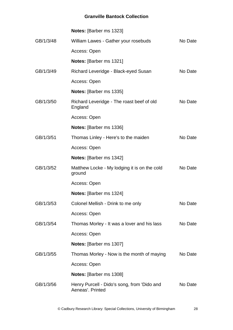|           | Notes: [Barber ms 1323]                                         |         |
|-----------|-----------------------------------------------------------------|---------|
| GB/1/3/48 | William Lawes - Gather your rosebuds                            | No Date |
|           | Access: Open                                                    |         |
|           | <b>Notes:</b> [Barber ms 1321]                                  |         |
| GB/1/3/49 | Richard Leveridge - Black-eyed Susan                            | No Date |
|           | Access: Open                                                    |         |
|           | <b>Notes: [Barber ms 1335]</b>                                  |         |
| GB/1/3/50 | Richard Leveridge - The roast beef of old<br>England            | No Date |
|           | Access: Open                                                    |         |
|           | <b>Notes:</b> [Barber ms 1336]                                  |         |
| GB/1/3/51 | Thomas Linley - Here's to the maiden                            | No Date |
|           | Access: Open                                                    |         |
|           | <b>Notes:</b> [Barber ms 1342]                                  |         |
| GB/1/3/52 | Matthew Locke - My lodging it is on the cold<br>ground          | No Date |
|           | Access: Open                                                    |         |
|           | <b>Notes:</b> [Barber ms 1324]                                  |         |
| GB/1/3/53 | Colonel Mellish - Drink to me only                              | No Date |
|           | Access: Open                                                    |         |
| GB/1/3/54 | Thomas Morley - It was a lover and his lass                     | No Date |
|           | Access: Open                                                    |         |
|           | Notes: [Barber ms 1307]                                         |         |
| GB/1/3/55 | Thomas Morley - Now is the month of maying                      | No Date |
|           | Access: Open                                                    |         |
|           | Notes: [Barber ms 1308]                                         |         |
| GB/1/3/56 | Henry Purcell - Dido's song, from 'Dido and<br>Aeneas'. Printed | No Date |
|           |                                                                 |         |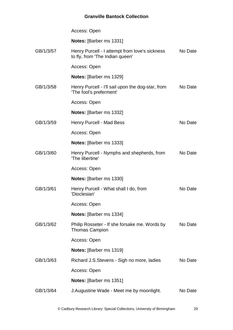|           | Access: Open                                                                      |         |
|-----------|-----------------------------------------------------------------------------------|---------|
|           | Notes: [Barber ms 1331]                                                           |         |
| GB/1/3/57 | Henry Purcell - I attempt from love's sickness<br>to fly, from 'The Indian queen' | No Date |
|           | Access: Open                                                                      |         |
|           | Notes: [Barber ms 1329]                                                           |         |
| GB/1/3/58 | Henry Purcell - I'll sail upon the dog-star, from<br>'The fool's preferment'      | No Date |
|           | Access: Open                                                                      |         |
|           | Notes: [Barber ms 1332]                                                           |         |
| GB/1/3/59 | Henry Purcell - Mad Bess                                                          | No Date |
|           | Access: Open                                                                      |         |
|           | <b>Notes:</b> [Barber ms 1333]                                                    |         |
| GB/1/3/60 | Henry Purcell - Nymphs and shepherds, from<br>'The libertine'                     | No Date |
|           | Access: Open                                                                      |         |
|           | Notes: [Barber ms 1330]                                                           |         |
| GB/1/3/61 | Henry Purcell - What shall I do, from<br>'Dioclesian'                             | No Date |
|           | Access: Open                                                                      |         |
|           | <b>Notes:</b> [Barber ms 1334]                                                    |         |
| GB/1/3/62 | Philip Rosseter - If she forsake me. Words by<br><b>Thomas Campion</b>            | No Date |
|           | Access: Open                                                                      |         |
|           | Notes: [Barber ms 1319]                                                           |         |
| GB/1/3/63 | Richard J.S. Stevens - Sigh no more, ladies                                       | No Date |
|           | Access: Open                                                                      |         |
|           | <b>Notes:</b> [Barber ms 1351]                                                    |         |
| GB/1/3/64 | J. Augustine Wade - Meet me by moonlight.                                         | No Date |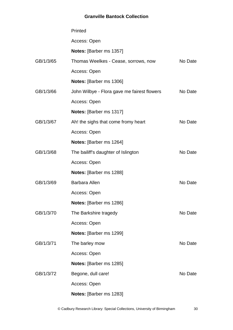|           | Printed                                     |         |
|-----------|---------------------------------------------|---------|
|           | Access: Open                                |         |
|           | Notes: [Barber ms 1357]                     |         |
| GB/1/3/65 | Thomas Weelkes - Cease, sorrows, now        | No Date |
|           | Access: Open                                |         |
|           | Notes: [Barber ms 1306]                     |         |
| GB/1/3/66 | John Wilbye - Flora gave me fairest flowers | No Date |
|           | Access: Open                                |         |
|           | Notes: [Barber ms 1317]                     |         |
| GB/1/3/67 | Ah! the sighs that come fromy heart         | No Date |
|           | Access: Open                                |         |
|           | Notes: [Barber ms 1264]                     |         |
| GB/1/3/68 | The bailiff's daughter of Islington         | No Date |
|           | Access: Open                                |         |
|           | Notes: [Barber ms 1288]                     |         |
| GB/1/3/69 | <b>Barbara Allen</b>                        | No Date |
|           | Access: Open                                |         |
|           | Notes: [Barber ms 1286]                     |         |
| GB/1/3/70 | The Barkshire tragedy                       | No Date |
|           | Access: Open                                |         |
|           | Notes: [Barber ms 1299]                     |         |
| GB/1/3/71 | The barley mow                              | No Date |
|           | Access: Open                                |         |
|           | <b>Notes:</b> [Barber ms 1285]              |         |
| GB/1/3/72 | Begone, dull care!                          | No Date |
|           | Access: Open                                |         |
|           | Notes: [Barber ms 1283]                     |         |

© Cadbury Research Library: Special Collections, University of Birmingham 30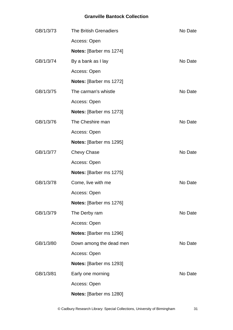| GB/1/3/73 | The British Grenadiers  | No Date |
|-----------|-------------------------|---------|
|           | Access: Open            |         |
|           | Notes: [Barber ms 1274] |         |
| GB/1/3/74 | By a bank as I lay      | No Date |
|           | Access: Open            |         |
|           | Notes: [Barber ms 1272] |         |
| GB/1/3/75 | The carman's whistle    | No Date |
|           | Access: Open            |         |
|           | Notes: [Barber ms 1273] |         |
| GB/1/3/76 | The Cheshire man        | No Date |
|           | Access: Open            |         |
|           | Notes: [Barber ms 1295] |         |
| GB/1/3/77 | <b>Chevy Chase</b>      | No Date |
|           | Access: Open            |         |
|           | Notes: [Barber ms 1275] |         |
| GB/1/3/78 | Come, live with me      | No Date |
|           | Access: Open            |         |
|           | Notes: [Barber ms 1276] |         |
| GB/1/3/79 | The Derby ram           | No Date |
|           | Access: Open            |         |
|           | Notes: [Barber ms 1296] |         |
| GB/1/3/80 | Down among the dead men | No Date |
|           | Access: Open            |         |
|           | Notes: [Barber ms 1293] |         |
| GB/1/3/81 | Early one morning       | No Date |
|           | Access: Open            |         |
|           | Notes: [Barber ms 1280] |         |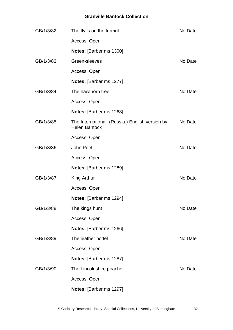| GB/1/3/82 | The fly is on the turmut                                                | No Date |
|-----------|-------------------------------------------------------------------------|---------|
|           | Access: Open                                                            |         |
|           | Notes: [Barber ms 1300]                                                 |         |
| GB/1/3/83 | Green-sleeves                                                           | No Date |
|           | Access: Open                                                            |         |
|           | Notes: [Barber ms 1277]                                                 |         |
| GB/1/3/84 | The hawthorn tree                                                       | No Date |
|           | Access: Open                                                            |         |
|           | Notes: [Barber ms 1268]                                                 |         |
| GB/1/3/85 | The International. (Russia.) English version by<br><b>Helen Bantock</b> | No Date |
|           | Access: Open                                                            |         |
| GB/1/3/86 | John Peel                                                               | No Date |
|           | Access: Open                                                            |         |
|           | Notes: [Barber ms 1289]                                                 |         |
| GB/1/3/87 | King Arthur                                                             | No Date |
|           | Access: Open                                                            |         |
|           | <b>Notes:</b> [Barber ms 1294]                                          |         |
| GB/1/3/88 | The kings hunt                                                          | No Date |
|           | Access: Open                                                            |         |
|           | Notes: [Barber ms 1266]                                                 |         |
| GB/1/3/89 | The leather bottel                                                      | No Date |
|           | Access: Open                                                            |         |
|           | Notes: [Barber ms 1287]                                                 |         |
| GB/1/3/90 | The Lincolnshire poacher                                                | No Date |
|           | Access: Open                                                            |         |
|           | Notes: [Barber ms 1297]                                                 |         |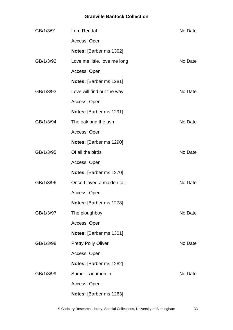| GB/1/3/91 | <b>Lord Rendal</b>           | No Date |
|-----------|------------------------------|---------|
|           | Access: Open                 |         |
|           | Notes: [Barber ms 1302]      |         |
| GB/1/3/92 | Love me little, love me long | No Date |
|           | Access: Open                 |         |
|           | Notes: [Barber ms 1281]      |         |
| GB/1/3/93 | Love will find out the way   | No Date |
|           | Access: Open                 |         |
|           | Notes: [Barber ms 1291]      |         |
| GB/1/3/94 | The oak and the ash          | No Date |
|           | Access: Open                 |         |
|           | Notes: [Barber ms 1290]      |         |
| GB/1/3/95 | Of all the birds             | No Date |
|           | Access: Open                 |         |
|           | Notes: [Barber ms 1270]      |         |
| GB/1/3/96 | Once I loved a maiden fair   | No Date |
|           | Access: Open                 |         |
|           | Notes: [Barber ms 1278]      |         |
| GB/1/3/97 | The ploughboy                | No Date |
|           | Access: Open                 |         |
|           | Notes: [Barber ms 1301]      |         |
| GB/1/3/98 | <b>Pretty Polly Oliver</b>   | No Date |
|           | Access: Open                 |         |
|           | Notes: [Barber ms 1282]      |         |
| GB/1/3/99 | Sumer is icumen in           | No Date |
|           | Access: Open                 |         |
|           | Notes: [Barber ms 1263]      |         |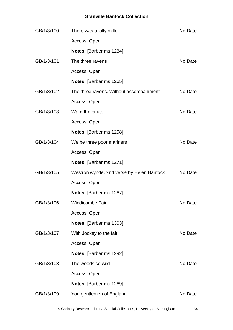| GB/1/3/100 | There was a jolly miller                  | No Date |
|------------|-------------------------------------------|---------|
|            | Access: Open                              |         |
|            | Notes: [Barber ms 1284]                   |         |
| GB/1/3/101 | The three ravens                          | No Date |
|            | Access: Open                              |         |
|            | Notes: [Barber ms 1265]                   |         |
| GB/1/3/102 | The three ravens. Without accompaniment   | No Date |
|            | Access: Open                              |         |
| GB/1/3/103 | Ward the pirate                           | No Date |
|            | Access: Open                              |         |
|            | Notes: [Barber ms 1298]                   |         |
| GB/1/3/104 | We be three poor mariners                 | No Date |
|            | Access: Open                              |         |
|            | Notes: [Barber ms 1271]                   |         |
| GB/1/3/105 | Westron wynde. 2nd verse by Helen Bantock | No Date |
|            | Access: Open                              |         |
|            | Notes: [Barber ms 1267]                   |         |
| GB/1/3/106 | Widdicombe Fair                           | No Date |
|            | Access: Open                              |         |
|            | <b>Notes: [Barber ms 1303]</b>            |         |
| GB/1/3/107 | With Jockey to the fair                   | No Date |
|            | Access: Open                              |         |
|            | Notes: [Barber ms 1292]                   |         |
| GB/1/3/108 | The woods so wild                         | No Date |
|            | Access: Open                              |         |
|            | Notes: [Barber ms 1269]                   |         |
| GB/1/3/109 | You gentlemen of England                  | No Date |

© Cadbury Research Library: Special Collections, University of Birmingham 34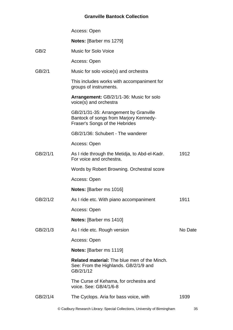|          | Access: Open                                                                                                       |         |
|----------|--------------------------------------------------------------------------------------------------------------------|---------|
|          | Notes: [Barber ms 1279]                                                                                            |         |
| GB/2     | <b>Music for Solo Voice</b>                                                                                        |         |
|          | Access: Open                                                                                                       |         |
| GB/2/1   | Music for solo voice(s) and orchestra                                                                              |         |
|          | This includes works with accompaniment for<br>groups of instruments.                                               |         |
|          | Arrangement: GB/2/1/1-36: Music for solo<br>voice(s) and orchestra                                                 |         |
|          | GB/2/1/31-35: Arrangement by Granville<br>Bantock of songs from Marjory Kennedy-<br>Fraser's Songs of the Hebrides |         |
|          | GB/2/1/36: Schubert - The wanderer                                                                                 |         |
|          | Access: Open                                                                                                       |         |
| GB/2/1/1 | As I ride through the Metidja, to Abd-el-Kadr.<br>For voice and orchestra.                                         | 1912    |
|          | Words by Robert Browning. Orchestral score                                                                         |         |
|          | Access: Open                                                                                                       |         |
|          | Notes: [Barber ms 1016]                                                                                            |         |
| GB/2/1/2 | As I ride etc. With piano accompaniment                                                                            | 1911    |
|          | Access: Open                                                                                                       |         |
|          | Notes: [Barber ms 1410]                                                                                            |         |
| GB/2/1/3 | As I ride etc. Rough version                                                                                       | No Date |
|          | Access: Open                                                                                                       |         |
|          | <b>Notes:</b> [Barber ms 1119]                                                                                     |         |
|          | <b>Related material:</b> The blue men of the Minch.<br>See: From the Highlands. GB/2/1/9 and<br>GB/2/1/12          |         |
|          | The Curse of Kehama, for orchestra and<br>voice, See: GB/4/1/6-8                                                   |         |
| GB/2/1/4 | The Cyclops. Aria for bass voice, with                                                                             | 1939    |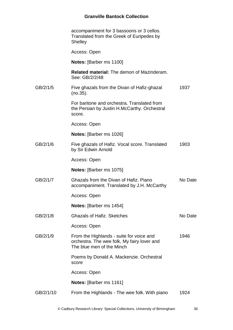|           | accompaniment for 3 bassoons or 3 cellos.<br>Translated from the Greek of Euripedes by<br>Shelley                    |         |
|-----------|----------------------------------------------------------------------------------------------------------------------|---------|
|           | Access: Open                                                                                                         |         |
|           | <b>Notes:</b> [Barber ms 1100]                                                                                       |         |
|           | <b>Related material:</b> The demon of Mazinderam.<br>See: GB/2/2/48                                                  |         |
| GB/2/1/5  | Five ghazals from the Divan of Hafiz-ghazal<br>(no.35).                                                              | 1937    |
|           | For baritone and orchestra. Translated from<br>the Persian by Justin H.McCarthy. Orchestral<br>score.                |         |
|           | Access: Open                                                                                                         |         |
|           | Notes: [Barber ms 1026]                                                                                              |         |
| GB/2/1/6  | Five ghazals of Hafiz. Vocal score. Translated<br>by Sir Edwin Arnold                                                | 1903    |
|           | Access: Open                                                                                                         |         |
|           | <b>Notes:</b> [Barber ms 1075]                                                                                       |         |
| GB/2/1/7  | Ghazals from the Divan of Hafiz. Piano<br>accompaniment. Translated by J.H. McCarthy                                 | No Date |
|           | Access: Open                                                                                                         |         |
|           | <b>Notes:</b> [Barber ms 1454]                                                                                       |         |
| GB/2/1/8  | <b>Ghazals of Hafiz. Sketches</b>                                                                                    | No Date |
|           | Access: Open                                                                                                         |         |
| GB/2/1/9  | From the Highlands - suite for voice and<br>orchestra. The wee folk, My fairy lover and<br>The blue men of the Minch | 1946    |
|           | Poems by Donald A. Mackenzie. Orchestral<br>score                                                                    |         |
|           | Access: Open                                                                                                         |         |
|           | <b>Notes:</b> [Barber ms 1161]                                                                                       |         |
| GB/2/1/10 | From the Highlands - The wee folk. With piano                                                                        | 1924    |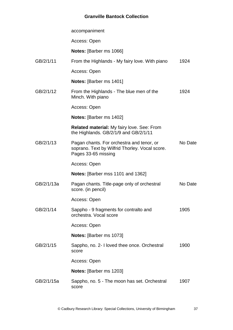|            | accompaniment                                                                                                      |         |
|------------|--------------------------------------------------------------------------------------------------------------------|---------|
|            | Access: Open                                                                                                       |         |
|            | <b>Notes:</b> [Barber ms 1066]                                                                                     |         |
| GB/2/1/11  | From the Highlands - My fairy love. With piano                                                                     | 1924    |
|            | Access: Open                                                                                                       |         |
|            | <b>Notes:</b> [Barber ms 1401]                                                                                     |         |
| GB/2/1/12  | From the Highlands - The blue men of the<br>Minch. With piano                                                      | 1924    |
|            | Access: Open                                                                                                       |         |
|            | Notes: [Barber ms 1402]                                                                                            |         |
|            | <b>Related material: My fairy love. See: From</b><br>the Highlands. GB/2/1/9 and GB/2/1/11                         |         |
| GB/2/1/13  | Pagan chants. For orchestra and tenor, or<br>soprano. Text by Wilfrid Thorley. Vocal score.<br>Pages 33-65 missing | No Date |
|            | Access: Open                                                                                                       |         |
|            | <b>Notes:</b> [Barber mss 1101 and 1362]                                                                           |         |
| GB/2/1/13a | Pagan chants. Title-page only of orchestral<br>score. (in pencil)                                                  | No Date |
|            | Access: Open                                                                                                       |         |
| GB/2/1/14  | Sappho - 9 fragments for contralto and<br>orchestra. Vocal score                                                   | 1905    |
|            | Access: Open                                                                                                       |         |
|            | Notes: [Barber ms 1073]                                                                                            |         |
| GB/2/1/15  | Sappho, no. 2- I loved thee once. Orchestral<br>score                                                              | 1900    |
|            | Access: Open                                                                                                       |         |
|            | <b>Notes:</b> [Barber ms 1203]                                                                                     |         |
| GB/2/1/15a | Sappho, no. 5 - The moon has set. Orchestral<br>score                                                              | 1907    |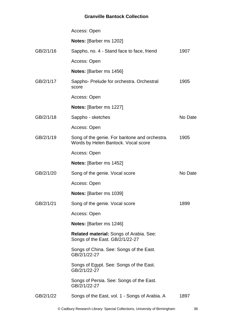|           | Access: Open                                                                          |         |
|-----------|---------------------------------------------------------------------------------------|---------|
|           | Notes: [Barber ms 1202]                                                               |         |
| GB/2/1/16 | Sappho, no. 4 - Stand face to face, friend                                            | 1907    |
|           | Access: Open                                                                          |         |
|           | <b>Notes:</b> [Barber ms 1456]                                                        |         |
| GB/2/1/17 | Sappho- Prelude for orchestra. Orchestral<br>score                                    | 1905    |
|           | Access: Open                                                                          |         |
|           | Notes: [Barber ms 1227]                                                               |         |
| GB/2/1/18 | Sappho - sketches                                                                     | No Date |
|           | Access: Open                                                                          |         |
| GB/2/1/19 | Song of the genie. For baritone and orchestra.<br>Words by Helen Bantock. Vocal score | 1905    |
|           | Access: Open                                                                          |         |
|           | <b>Notes:</b> [Barber ms 1452]                                                        |         |
| GB/2/1/20 | Song of the genie. Vocal score                                                        | No Date |
|           | Access: Open                                                                          |         |
|           | <b>Notes:</b> [Barber ms 1039]                                                        |         |
| GB/2/1/21 | Song of the genie. Vocal score                                                        | 1899    |
|           | Access: Open                                                                          |         |
|           | Notes: [Barber ms 1246]                                                               |         |
|           | <b>Related material: Songs of Arabia. See:</b><br>Songs of the East. GB/2/1/22-27     |         |
|           | Songs of China. See: Songs of the East.<br>GB/2/1/22-27                               |         |
|           | Songs of Egypt. See: Songs of the East.<br>GB/2/1/22-27                               |         |
|           | Songs of Persia. See: Songs of the East.<br>GB/2/1/22-27                              |         |
| GB/2/1/22 | Songs of the East, vol. 1 - Songs of Arabia. A                                        | 1897    |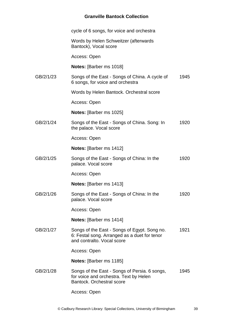|           | cycle of 6 songs, for voice and orchestra                                                                                  |      |
|-----------|----------------------------------------------------------------------------------------------------------------------------|------|
|           | Words by Helen Schweitzer (afterwards<br>Bantock), Vocal score                                                             |      |
|           | Access: Open                                                                                                               |      |
|           | <b>Notes:</b> [Barber ms 1018]                                                                                             |      |
| GB/2/1/23 | Songs of the East - Songs of China. A cycle of<br>6 songs, for voice and orchestra                                         | 1945 |
|           | Words by Helen Bantock. Orchestral score                                                                                   |      |
|           | Access: Open                                                                                                               |      |
|           | Notes: [Barber ms 1025]                                                                                                    |      |
| GB/2/1/24 | Songs of the East - Songs of China. Song: In<br>the palace. Vocal score                                                    | 1920 |
|           | Access: Open                                                                                                               |      |
|           | <b>Notes:</b> [Barber ms 1412]                                                                                             |      |
| GB/2/1/25 | Songs of the East - Songs of China: In the<br>palace. Vocal score                                                          | 1920 |
|           | Access: Open                                                                                                               |      |
|           | <b>Notes:</b> [Barber ms 1413]                                                                                             |      |
| GB/2/1/26 | Songs of the East - Songs of China: In the<br>palace. Vocal score                                                          | 1920 |
|           | Access: Open                                                                                                               |      |
|           | Notes: [Barber ms 1414]                                                                                                    |      |
| GB/2/1/27 | Songs of the East - Songs of Egypt. Song no.<br>6: Festal song. Arranged as a duet for tenor<br>and contralto. Vocal score | 1921 |
|           | Access: Open                                                                                                               |      |
|           | <b>Notes:</b> [Barber ms 1185]                                                                                             |      |
| GB/2/1/28 | Songs of the East - Songs of Persia. 6 songs,<br>for voice and orchestra. Text by Helen<br>Bantock. Orchestral score       | 1945 |

Access: Open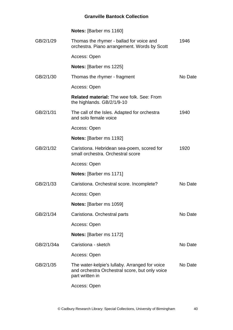|            | <b>Notes:</b> [Barber ms 1160]                                                                                      |         |
|------------|---------------------------------------------------------------------------------------------------------------------|---------|
| GB/2/1/29  | Thomas the rhymer - ballad for voice and<br>orchestra. Piano arrangement. Words by Scott                            | 1946    |
|            | Access: Open                                                                                                        |         |
|            | <b>Notes:</b> [Barber ms 1225]                                                                                      |         |
| GB/2/1/30  | Thomas the rhymer - fragment                                                                                        | No Date |
|            | Access: Open                                                                                                        |         |
|            | <b>Related material:</b> The wee folk. See: From<br>the highlands. GB/2/1/9-10                                      |         |
| GB/2/1/31  | The call of the Isles. Adapted for orchestra<br>and solo female voice                                               | 1940    |
|            | Access: Open                                                                                                        |         |
|            | <b>Notes:</b> [Barber ms 1192]                                                                                      |         |
| GB/2/1/32  | Caristiona. Hebridean sea-poem, scored for<br>small orchestra. Orchestral score                                     | 1920    |
|            | Access: Open                                                                                                        |         |
|            | <b>Notes:</b> [Barber ms 1171]                                                                                      |         |
| GB/2/1/33  | Caristiona. Orchestral score. Incomplete?                                                                           | No Date |
|            | Access: Open                                                                                                        |         |
|            | Notes: [Barber ms 1059]                                                                                             |         |
| GB/2/1/34  | Caristiona. Orchestral parts                                                                                        | No Date |
|            | Access: Open                                                                                                        |         |
|            | <b>Notes:</b> [Barber ms 1172]                                                                                      |         |
| GB/2/1/34a | Caristiona - sketch                                                                                                 | No Date |
|            | Access: Open                                                                                                        |         |
| GB/2/1/35  | The water-kelpie's lullaby. Arranged for voice<br>and orchestra Orchestral score, but only voice<br>part written in | No Date |
|            | Access: Open                                                                                                        |         |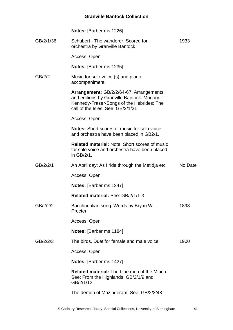|           | <b>Notes:</b> [Barber ms 1226]                                                                                                                                          |         |
|-----------|-------------------------------------------------------------------------------------------------------------------------------------------------------------------------|---------|
| GB/2/1/36 | Schubert - The wanderer, Scored for<br>orchestra by Granville Bantock                                                                                                   | 1933    |
|           | Access: Open                                                                                                                                                            |         |
|           | <b>Notes:</b> [Barber ms 1235]                                                                                                                                          |         |
| GB/2/2    | Music for solo voice (s) and piano<br>accompaniment.                                                                                                                    |         |
|           | Arrangement: GB/2/2/64-67: Arrangements<br>and editions by Granville Bantock. Marjory<br>Kennedy-Fraser-Songs of the Hebrides: The<br>call of the Isles. See: GB/2/1/31 |         |
|           | Access: Open                                                                                                                                                            |         |
|           | <b>Notes:</b> Short scores of music for solo voice<br>and orchestra have been placed in GB2/1.                                                                          |         |
|           | <b>Related material: Note: Short scores of music</b><br>for solo voice and orchestra have been placed<br>in GB/2/1.                                                     |         |
| GB/2/2/1  | An April day; As I ride through the Metidja etc                                                                                                                         | No Date |
|           | Access: Open                                                                                                                                                            |         |
|           | <b>Notes:</b> [Barber ms 1247]                                                                                                                                          |         |
|           | Related material: See: GB/2/1/1-3                                                                                                                                       |         |
| GB/2/2/2  | Bacchanalian song. Words by Bryan W.<br>Procter                                                                                                                         | 1898    |
|           | Access: Open                                                                                                                                                            |         |
|           | Notes: [Barber ms 1184]                                                                                                                                                 |         |
| GB/2/2/3  | The birds. Duet for female and male voice                                                                                                                               | 1900    |
|           | Access: Open                                                                                                                                                            |         |
|           | Notes: [Barber ms 1427]                                                                                                                                                 |         |
|           | <b>Related material:</b> The blue men of the Minch.<br>See: From the Highlands. GB/2/1/9 and<br>GB/2/1/12.                                                              |         |
|           | The demon of Mazinderam. See: GB/2/2/48                                                                                                                                 |         |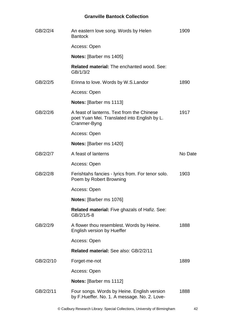| GB/2/2/4  | An eastern love song. Words by Helen<br><b>Bantock</b>                                                     | 1909    |
|-----------|------------------------------------------------------------------------------------------------------------|---------|
|           | Access: Open                                                                                               |         |
|           | Notes: [Barber ms 1405]                                                                                    |         |
|           | <b>Related material: The enchanted wood. See:</b><br>GB/1/3/2                                              |         |
| GB/2/2/5  | Erinna to love. Words by W.S.Landor                                                                        | 1890    |
|           | Access: Open                                                                                               |         |
|           | <b>Notes:</b> [Barber ms 1113]                                                                             |         |
| GB/2/2/6  | A feast of lanterns. Text from the Chinese<br>poet Yuan Mei. Translated into English by L.<br>Cranmer-Byng | 1917    |
|           | Access: Open                                                                                               |         |
|           | Notes: [Barber ms 1420]                                                                                    |         |
| GB/2/2/7  | A feast of lanterns                                                                                        | No Date |
|           | Access: Open                                                                                               |         |
| GB/2/2/8  | Ferishtahs fancies - lyrics from. For tenor solo.<br>Poem by Robert Browning                               | 1903    |
|           | Access: Open                                                                                               |         |
|           | <b>Notes:</b> [Barber ms 1076]                                                                             |         |
|           | <b>Related material: Five ghazals of Hafiz. See:</b><br>GB/2/1/5-8                                         |         |
| GB/2/2/9  | A flower thou resemblest. Words by Heine.<br>English version by Hueffer                                    | 1888    |
|           | Access: Open                                                                                               |         |
|           | <b>Related material: See also: GB/2/2/11</b>                                                               |         |
| GB/2/2/10 | Forget-me-not                                                                                              | 1889    |
|           | Access: Open                                                                                               |         |
|           | <b>Notes:</b> [Barber ms 1112]                                                                             |         |
| GB/2/2/11 | Four songs. Words by Heine. English version<br>by F.Hueffer. No. 1. A message. No. 2. Love-                | 1888    |
|           |                                                                                                            |         |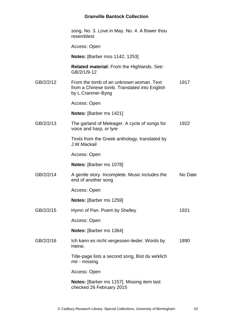|           | song. No. 3. Love in May. No. 4. A flower thou<br>resemblest                                                 |         |
|-----------|--------------------------------------------------------------------------------------------------------------|---------|
|           | Access: Open                                                                                                 |         |
|           | <b>Notes: [Barber mss 1142, 1253]</b>                                                                        |         |
|           | <b>Related material:</b> From the Highlands. See:<br>GB/2/1/9-12                                             |         |
| GB/2/2/12 | From the tomb of an unknown woman. Text<br>from a Chinese tomb. Translated into English<br>by L.Cranmer-Byng | 1917    |
|           | Access: Open                                                                                                 |         |
|           | <b>Notes:</b> [Barber ms 1421]                                                                               |         |
| GB/2/2/13 | The garland of Meleager. A cycle of songs for<br>voice and harp, or lyre                                     | 1922    |
|           | Texts from the Greek anthology, translated by<br>J.W.Mackail                                                 |         |
|           | Access: Open                                                                                                 |         |
|           | Notes: [Barber ms 1078]                                                                                      |         |
| GB/2/2/14 | A gentle story. Incomplete. Music includes the<br>end of another song                                        | No Date |
|           | Access: Open                                                                                                 |         |
|           | <b>Notes: [Barber ms 1259]</b>                                                                               |         |
| GB/2/2/15 | Hymn of Pan. Poem by Shelley                                                                                 | 1921    |
|           | Access: Open                                                                                                 |         |
|           | <b>Notes:</b> [Barber ms 1364]                                                                               |         |
| GB/2/2/16 | Ich kann es nicht vergessen-lieder. Words by<br>Heine.                                                       | 1890    |
|           | Title-page lists a second song, Bist du wirklich<br>mir - missing.                                           |         |
|           | Access: Open                                                                                                 |         |
|           | <b>Notes:</b> [Barber ms 1157]. Missing item last<br>checked 26 February 2015                                |         |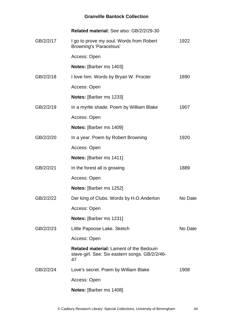|           | Related material: See also: GB/2/2/29-30                                                               |         |
|-----------|--------------------------------------------------------------------------------------------------------|---------|
| GB/2/2/17 | I go to prove my soul. Words from Robert<br><b>Browning's 'Paracelsus'</b>                             | 1922    |
|           | Access: Open                                                                                           |         |
|           | Notes: [Barber ms 1403]                                                                                |         |
| GB/2/2/18 | I love him. Words by Bryan W. Procter                                                                  | 1890    |
|           | Access: Open                                                                                           |         |
|           | Notes: [Barber ms 1233]                                                                                |         |
| GB/2/2/19 | In a myrtle shade. Poem by William Blake                                                               | 1907    |
|           | Access: Open                                                                                           |         |
|           | Notes: [Barber ms 1409]                                                                                |         |
| GB/2/2/20 | In a year. Poem by Robert Browning                                                                     | 1920    |
|           | Access: Open                                                                                           |         |
|           | Notes: [Barber ms 1411]                                                                                |         |
| GB/2/2/21 | In the forest all is growing                                                                           | 1889    |
|           | Access: Open                                                                                           |         |
|           | <b>Notes:</b> [Barber ms 1252]                                                                         |         |
| GB/2/2/22 | Der king of Clubs. Words by H.O. Anderton                                                              | No Date |
|           | Access: Open                                                                                           |         |
|           | <b>Notes:</b> [Barber ms 1231]                                                                         |         |
| GB/2/2/23 | Little Papoose Lake. Sketch                                                                            | No Date |
|           | Access: Open                                                                                           |         |
|           | <b>Related material: Lament of the Bedouin</b><br>slave-girl. See: Six eastern songs. GB/2/2/46-<br>47 |         |
| GB/2/2/24 | Love's secret. Poem by William Blake                                                                   | 1908    |
|           | Access: Open                                                                                           |         |
|           | Notes: [Barber ms 1408]                                                                                |         |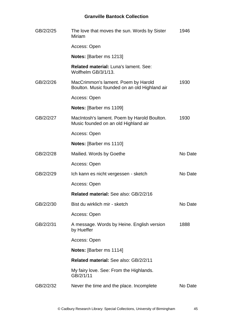| GB/2/2/25 | The love that moves the sun. Words by Sister<br>Miriam                               | 1946    |
|-----------|--------------------------------------------------------------------------------------|---------|
|           | Access: Open                                                                         |         |
|           | <b>Notes: [Barber ms 1213]</b>                                                       |         |
|           | <b>Related material: Luna's lament. See:</b><br>Wolfhelm GB/3/1/13.                  |         |
| GB/2/2/26 | MacCrimmon's lament. Poem by Harold<br>Boulton. Music founded on an old Highland air | 1930    |
|           | Access: Open                                                                         |         |
|           | Notes: [Barber ms 1109]                                                              |         |
| GB/2/2/27 | MacIntosh's lament. Poem by Harold Boulton.<br>Music founded on an old Highland air  | 1930    |
|           | Access: Open                                                                         |         |
|           | <b>Notes:</b> [Barber ms 1110]                                                       |         |
| GB/2/2/28 | Mailied. Words by Goethe                                                             | No Date |
|           | Access: Open                                                                         |         |
| GB/2/2/29 | Ich kann es nicht vergessen - sketch                                                 | No Date |
|           | Access: Open                                                                         |         |
|           | Related material: See also: GB/2/2/16                                                |         |
| GB/2/2/30 | Bist du wirklich mir - sketch                                                        | No Date |
|           | Access: Open                                                                         |         |
| GB/2/2/31 | A message. Words by Heine. English version<br>by Hueffer                             | 1888    |
|           | Access: Open                                                                         |         |
|           | Notes: [Barber ms 1114]                                                              |         |
|           | Related material: See also: GB/2/2/11                                                |         |
|           | My fairy love. See: From the Highlands.<br>GB/2/1/11                                 |         |
| GB/2/2/32 | Never the time and the place. Incomplete                                             | No Date |
|           |                                                                                      |         |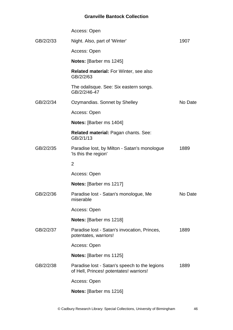|           | Access: Open                                                                             |         |
|-----------|------------------------------------------------------------------------------------------|---------|
| GB/2/2/33 | Night. Also, part of 'Winter'                                                            | 1907    |
|           | Access: Open                                                                             |         |
|           | <b>Notes:</b> [Barber ms 1245]                                                           |         |
|           | <b>Related material: For Winter, see also</b><br>GB/2/2/63                               |         |
|           | The odalisque. See: Six eastern songs.<br>GB/2/2/46-47                                   |         |
| GB/2/2/34 | Ozymandias. Sonnet by Shelley                                                            | No Date |
|           | Access: Open                                                                             |         |
|           | <b>Notes:</b> [Barber ms 1404]                                                           |         |
|           | Related material: Pagan chants. See:<br>GB/2/1/13                                        |         |
| GB/2/2/35 | Paradise lost, by Milton - Satan's monologue<br>'Is this the region'                     | 1889    |
|           | $\overline{2}$                                                                           |         |
|           | Access: Open                                                                             |         |
|           | Notes: [Barber ms 1217]                                                                  |         |
| GB/2/2/36 | Paradise lost - Satan's monologue, Me<br>miserable                                       | No Date |
|           | Access: Open                                                                             |         |
|           | <b>Notes:</b> [Barber ms 1218]                                                           |         |
| GB/2/2/37 | Paradise lost - Satan's invocation, Princes,<br>potentates, warriors!                    | 1889    |
|           | Access: Open                                                                             |         |
|           | <b>Notes:</b> [Barber ms 1125]                                                           |         |
| GB/2/2/38 | Paradise lost - Satan's speech to the legions<br>of Hell, Princes! potentates! warriors! | 1889    |
|           | Access: Open                                                                             |         |
|           | <b>Notes:</b> [Barber ms 1216]                                                           |         |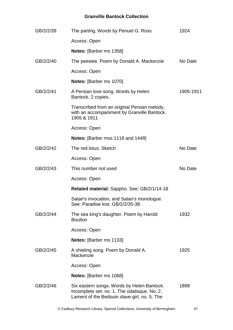| GB/2/2/39 | The parting. Words by Penuel G. Ross                                                                                                       | 1924      |
|-----------|--------------------------------------------------------------------------------------------------------------------------------------------|-----------|
|           | Access: Open                                                                                                                               |           |
|           | Notes: [Barber ms 1358]                                                                                                                    |           |
| GB/2/2/40 | The peewee. Poem by Donald A. Mackenzie                                                                                                    | No Date   |
|           | Access: Open                                                                                                                               |           |
|           | <b>Notes:</b> [Barber ms 1070]                                                                                                             |           |
| GB/2/2/41 | A Persian love-song. Words by Helen<br>Bantock. 2 copies.                                                                                  | 1905-1911 |
|           | Transcribed from an original Persian melody,<br>with an accompaniment by Granville Bantock.<br>1905 & 1911                                 |           |
|           | Access: Open                                                                                                                               |           |
|           | Notes: [Barber mss 1118 and 1449]                                                                                                          |           |
| GB/2/2/42 | The red lotus. Sketch                                                                                                                      | No Date   |
|           | Access: Open                                                                                                                               |           |
| GB/2/2/43 | This number not used                                                                                                                       | No Date   |
|           | Access: Open                                                                                                                               |           |
|           | Related material: Sappho. See: GB/2/1/14-18                                                                                                |           |
|           | Satan's invocation, and Satan's monologue.<br>See: Paradise lost. GB/2/2/35-38.                                                            |           |
| GB/2/2/44 | The sea king's daughter. Poem by Harold<br><b>Boulton</b>                                                                                  | 1932      |
|           | Access: Open                                                                                                                               |           |
|           | <b>Notes:</b> [Barber ms 1133]                                                                                                             |           |
| GB/2/2/45 | A shieling song. Poem by Donald A.<br>Mackenzie                                                                                            | 1925      |
|           | Access: Open                                                                                                                               |           |
|           | <b>Notes:</b> [Barber ms 1068]                                                                                                             |           |
| GB/2/2/46 | Six eastern songs. Words by Helen Bantock.<br>Incomplete set: no. 1. The odalisque. No. 2.<br>Lament of the Bedouin slave-girl, no. 5. The | 1899      |
|           |                                                                                                                                            |           |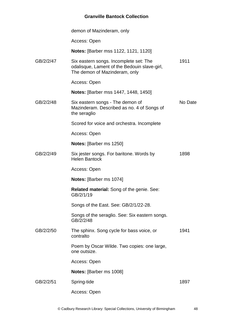|           | demon of Mazinderam, only                                                                                               |         |
|-----------|-------------------------------------------------------------------------------------------------------------------------|---------|
|           | Access: Open                                                                                                            |         |
|           | <b>Notes:</b> [Barber mss 1122, 1121, 1120]                                                                             |         |
| GB/2/2/47 | Six eastern songs. Incomplete set: The<br>odalisque, Lament of the Bedouin slave-girl,<br>The demon of Mazinderam, only | 1911    |
|           | Access: Open                                                                                                            |         |
|           | <b>Notes:</b> [Barber mss 1447, 1448, 1450]                                                                             |         |
| GB/2/2/48 | Six eastern songs - The demon of<br>Mazinderam. Described as no. 4 of Songs of<br>the seraglio                          | No Date |
|           | Scored for voice and orchestra. Incomplete                                                                              |         |
|           | Access: Open                                                                                                            |         |
|           | <b>Notes:</b> [Barber ms 1250]                                                                                          |         |
| GB/2/2/49 | Six jester songs. For baritone. Words by<br><b>Helen Bantock</b>                                                        | 1898    |
|           | Access: Open                                                                                                            |         |
|           | <b>Notes:</b> [Barber ms 1074]                                                                                          |         |
|           | <b>Related material:</b> Song of the genie. See:<br>GB/2/1/19                                                           |         |
|           | Songs of the East. See: GB/2/1/22-28.                                                                                   |         |
|           | Songs of the seraglio. See: Six eastern songs.<br>GB/2/2/48                                                             |         |
| GB/2/2/50 | The sphinx. Song cycle for bass voice, or<br>contralto                                                                  | 1941    |
|           | Poem by Oscar Wilde. Two copies: one large,<br>one outsize.                                                             |         |
|           | Access: Open                                                                                                            |         |
|           | Notes: [Barber ms 1008]                                                                                                 |         |
| GB/2/2/51 | Spring-tide                                                                                                             | 1897    |
|           | Access: Open                                                                                                            |         |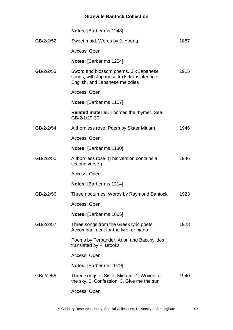|           | Notes: [Barber ms 1248]                                                                                               |      |
|-----------|-----------------------------------------------------------------------------------------------------------------------|------|
| GB/2/2/52 | Sweet maid. Words by J. Young                                                                                         | 1887 |
|           | Access: Open                                                                                                          |      |
|           | <b>Notes: [Barber ms 1254]</b>                                                                                        |      |
| GB/2/2/53 | Sword and blossom poems. Six Japanese<br>songs, with Japanese texts translated into<br>English, and Japanese melodies | 1915 |
|           | Access: Open                                                                                                          |      |
|           | <b>Notes:</b> [Barber ms 1107]                                                                                        |      |
|           | <b>Related material: Thomas the rhymer. See:</b><br>GB/2/1/29-30                                                      |      |
| GB/2/2/54 | A thornless rose. Poem by Sister Miriam                                                                               | 1946 |
|           | Access: Open                                                                                                          |      |
|           | <b>Notes:</b> [Barber ms 1130]                                                                                        |      |
| GB/2/2/55 | A thornless rose. (This version contains a<br>second verse.)                                                          | 1946 |
|           | Access: Open                                                                                                          |      |
|           | Notes: [Barber ms 1214]                                                                                               |      |
| GB/2/2/56 | Three nocturnes. Words by Raymond Bantock                                                                             | 1923 |
|           | Access: Open                                                                                                          |      |
|           | <b>Notes:</b> [Barber ms 1065]                                                                                        |      |
| GB/2/2/57 | Three songs from the Greek lyric poets.<br>Accompaniment for the lyre, or piano                                       | 1923 |
|           | Poems by Terpander, Arion and Bacchylides<br>translated by F. Brooks                                                  |      |
|           | Access: Open                                                                                                          |      |
|           | <b>Notes:</b> [Barber ms 1079]                                                                                        |      |
| GB/2/2/58 | Three songs of Sister Miriam - 1. Woven of<br>the sky, 2. Confession. 3. Give me the sun                              | 1940 |
|           | Access: Open                                                                                                          |      |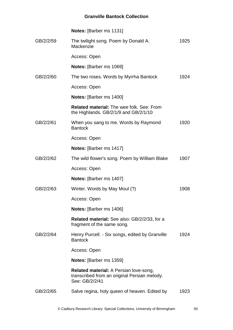|           | Notes: [Barber ms 1131]                                                                                         |      |
|-----------|-----------------------------------------------------------------------------------------------------------------|------|
| GB/2/2/59 | The twilight song. Poem by Donald A.<br>Mackenzie                                                               | 1925 |
|           | Access: Open                                                                                                    |      |
|           | Notes: [Barber ms 1069]                                                                                         |      |
| GB/2/2/60 | The two roses. Words by Myrrha Bantock                                                                          | 1924 |
|           | Access: Open                                                                                                    |      |
|           | <b>Notes:</b> [Barber ms 1400]                                                                                  |      |
|           | <b>Related material:</b> The wee folk. See: From<br>the Highlands. GB/2/1/9 and GB/2/1/10                       |      |
| GB/2/2/61 | When you sang to me. Words by Raymond<br><b>Bantock</b>                                                         | 1920 |
|           | Access: Open                                                                                                    |      |
|           | Notes: [Barber ms 1417]                                                                                         |      |
| GB/2/2/62 | The wild flower's song. Poem by William Blake                                                                   | 1907 |
|           | Access: Open                                                                                                    |      |
|           | <b>Notes:</b> [Barber ms 1407]                                                                                  |      |
| GB/2/2/63 | Winter. Words by May Moul (?)                                                                                   | 1908 |
|           | Access: Open                                                                                                    |      |
|           | <b>Notes:</b> [Barber ms 1406]                                                                                  |      |
|           | <b>Related material:</b> See also: GB/2/2/33, for a<br>fragment of the same song.                               |      |
| GB/2/2/64 | Henry Purcell. - Six songs, edited by Granville<br><b>Bantock</b>                                               | 1924 |
|           | Access: Open                                                                                                    |      |
|           | <b>Notes:</b> [Barber ms 1359]                                                                                  |      |
|           | <b>Related material:</b> A Persian love-song,<br>transcribed from an original Persian melody.<br>See: GB/2/2/41 |      |
| GB/2/2/65 | Salve regina, holy queen of heaven. Edited by                                                                   | 1923 |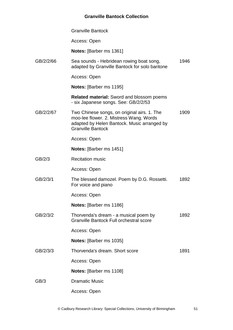|           | <b>Granville Bantock</b>                                                                                                                                          |      |
|-----------|-------------------------------------------------------------------------------------------------------------------------------------------------------------------|------|
|           | Access: Open                                                                                                                                                      |      |
|           | <b>Notes:</b> [Barber ms 1361]                                                                                                                                    |      |
| GB/2/2/66 | Sea sounds - Hebridean rowing boat song,<br>adapted by Granville Bantock for solo baritone                                                                        | 1946 |
|           | Access: Open                                                                                                                                                      |      |
|           | <b>Notes:</b> [Barber ms 1195]                                                                                                                                    |      |
|           | <b>Related material:</b> Sword and blossom poems<br>- six Japanese songs. See: GB/2/2/53                                                                          |      |
| GB/2/2/67 | Two Chinese songs, on original airs. 1. The<br>moo-lee flower. 2. Mistress Wang. Words<br>adapted by Helen Bantock. Music arranged by<br><b>Granville Bantock</b> | 1909 |
|           | Access: Open                                                                                                                                                      |      |
|           | <b>Notes:</b> [Barber ms 1451]                                                                                                                                    |      |
| GB/2/3    | <b>Recitation music</b>                                                                                                                                           |      |
|           | Access: Open                                                                                                                                                      |      |
| GB/2/3/1  | The blessed damozel. Poem by D.G. Rossetti.<br>For voice and piano                                                                                                | 1892 |
|           | Access: Open                                                                                                                                                      |      |
|           | <b>Notes:</b> [Barber ms 1186]                                                                                                                                    |      |
| GB/2/3/2  | Thorvenda's dream - a musical poem by<br><b>Granville Bantock Full orchestral score</b>                                                                           | 1892 |
|           | Access: Open                                                                                                                                                      |      |
|           | <b>Notes:</b> [Barber ms 1035]                                                                                                                                    |      |
| GB/2/3/3  | Thorvenda's dream. Short score                                                                                                                                    | 1891 |
|           | Access: Open                                                                                                                                                      |      |
|           | <b>Notes:</b> [Barber ms 1108]                                                                                                                                    |      |
| GB/3      | <b>Dramatic Music</b>                                                                                                                                             |      |
|           | Access: Open                                                                                                                                                      |      |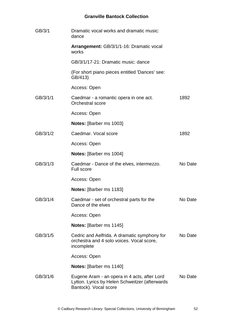| GB/3/1   | Dramatic vocal works and dramatic music:<br>dance                                                                       |         |
|----------|-------------------------------------------------------------------------------------------------------------------------|---------|
|          | Arrangement: GB/3/1/1-16: Dramatic vocal<br>works                                                                       |         |
|          | GB/3/1/17-21: Dramatic music: dance                                                                                     |         |
|          | (For short piano pieces entitled 'Dances' see:<br>GB/413)                                                               |         |
|          | Access: Open                                                                                                            |         |
| GB/3/1/1 | Caedmar - a romantic opera in one act.<br><b>Orchestral score</b>                                                       | 1892    |
|          | Access: Open                                                                                                            |         |
|          | Notes: [Barber ms 1003]                                                                                                 |         |
| GB/3/1/2 | Caedmar. Vocal score                                                                                                    | 1892    |
|          | Access: Open                                                                                                            |         |
|          | <b>Notes:</b> [Barber ms 1004]                                                                                          |         |
| GB/3/1/3 | Caedmar - Dance of the elves, intermezzo.<br><b>Full score</b>                                                          | No Date |
|          | Access: Open                                                                                                            |         |
|          | <b>Notes:</b> [Barber ms 1183]                                                                                          |         |
| GB/3/1/4 | Caedmar - set of orchestral parts for the<br>Dance of the elves                                                         | No Date |
|          | Access: Open                                                                                                            |         |
|          | <b>Notes:</b> [Barber ms 1145]                                                                                          |         |
| GB/3/1/5 | Cedric and Aelfrida. A dramatic symphony for<br>orchestra and 4 solo voices. Vocal score,<br>incomplete                 | No Date |
|          | Access: Open                                                                                                            |         |
|          | <b>Notes:</b> [Barber ms 1140]                                                                                          |         |
| GB/3/1/6 | Eugene Aram - an opera in 4 acts, after Lord<br>Lytton. Lyrics by Helen Schweitzer (afterwards<br>Bantock). Vocal score | No Date |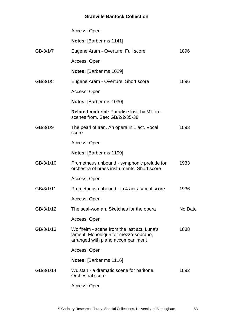|           | Access: Open                                                                                                            |         |
|-----------|-------------------------------------------------------------------------------------------------------------------------|---------|
|           | <b>Notes:</b> [Barber ms 1141]                                                                                          |         |
| GB/3/1/7  | Eugene Aram - Overture. Full score                                                                                      | 1896    |
|           | Access: Open                                                                                                            |         |
|           | <b>Notes:</b> [Barber ms 1029]                                                                                          |         |
| GB/3/1/8  | Eugene Aram - Overture. Short score                                                                                     | 1896    |
|           | Access: Open                                                                                                            |         |
|           | <b>Notes:</b> [Barber ms 1030]                                                                                          |         |
|           | <b>Related material: Paradise lost, by Milton -</b><br>scenes from. See: GB/2/2/35-38                                   |         |
| GB/3/1/9  | The pearl of Iran. An opera in 1 act. Vocal<br>score                                                                    | 1893    |
|           | Access: Open                                                                                                            |         |
|           | <b>Notes:</b> [Barber ms 1199]                                                                                          |         |
| GB/3/1/10 | Prometheus unbound - symphonic prelude for<br>orchestra of brass instruments. Short score                               | 1933    |
|           | Access: Open                                                                                                            |         |
| GB/3/1/11 | Prometheus unbound - in 4 acts. Vocal score                                                                             | 1936    |
|           | Access: Open                                                                                                            |         |
| GB/3/1/12 | The seal-woman. Sketches for the opera                                                                                  | No Date |
|           | Access: Open                                                                                                            |         |
| GB/3/1/13 | Wolfhelm - scene from the last act. Luna's<br>lament. Monologue for mezzo-soprano,<br>arranged with piano accompaniment | 1888    |
|           | Access: Open                                                                                                            |         |
|           | <b>Notes:</b> [Barber ms 1116]                                                                                          |         |
| GB/3/1/14 | Wulstan - a dramatic scene for baritone.<br><b>Orchestral score</b>                                                     | 1892    |
|           | Access: Open                                                                                                            |         |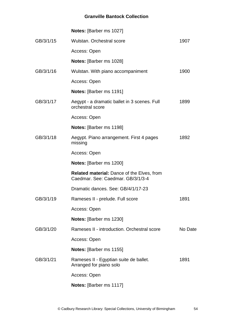|           | Notes: [Barber ms 1027]                                                                |         |
|-----------|----------------------------------------------------------------------------------------|---------|
| GB/3/1/15 | Wulstan, Orchestral score                                                              | 1907    |
|           | Access: Open                                                                           |         |
|           | <b>Notes:</b> [Barber ms 1028]                                                         |         |
| GB/3/1/16 | Wulstan. With piano accompaniment                                                      | 1900    |
|           | Access: Open                                                                           |         |
|           | <b>Notes:</b> [Barber ms 1191]                                                         |         |
| GB/3/1/17 | Aegypt - a dramatic ballet in 3 scenes. Full<br>orchestral score                       | 1899    |
|           | Access: Open                                                                           |         |
|           | <b>Notes:</b> [Barber ms 1198]                                                         |         |
| GB/3/1/18 | Aegypt. Piano arrangement. First 4 pages<br>missing                                    | 1892    |
|           | Access: Open                                                                           |         |
|           | <b>Notes:</b> [Barber ms 1200]                                                         |         |
|           | <b>Related material: Dance of the Elves, from</b><br>Caedmar, See: Caedmar, GB/3/1/3-4 |         |
|           | Dramatic dances, See: GB/4/1/17-23                                                     |         |
| GB/3/1/19 | Rameses II - prelude. Full score                                                       | 1891    |
|           | Access: Open                                                                           |         |
|           | <b>Notes:</b> [Barber ms 1230]                                                         |         |
| GB/3/1/20 | Rameses II - introduction. Orchestral score                                            | No Date |
|           | Access: Open                                                                           |         |
|           | <b>Notes:</b> [Barber ms 1155]                                                         |         |
| GB/3/1/21 | Rameses II - Egyptian suite de ballet.<br>Arranged for piano solo                      | 1891    |
|           |                                                                                        |         |
|           | Access: Open                                                                           |         |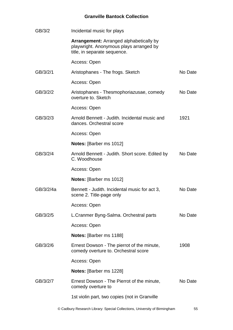| GB/3/2    | Incidental music for plays                                                                                                |         |
|-----------|---------------------------------------------------------------------------------------------------------------------------|---------|
|           | <b>Arrangement:</b> Arranged alphabetically by<br>playwright. Anonymous plays arranged by<br>title, in separate sequence. |         |
|           | Access: Open                                                                                                              |         |
| GB/3/2/1  | Aristophanes - The frogs. Sketch                                                                                          | No Date |
|           | Access: Open                                                                                                              |         |
| GB/3/2/2  | Aristophanes - Thesmophoriazusae, comedy<br>overture to. Sketch                                                           | No Date |
|           | Access: Open                                                                                                              |         |
| GB/3/2/3  | Arnold Bennett - Judith, Incidental music and<br>dances. Orchestral score                                                 | 1921    |
|           | Access: Open                                                                                                              |         |
|           | <b>Notes:</b> [Barber ms 1012]                                                                                            |         |
| GB/3/2/4  | Arnold Bennett - Judith. Short score. Edited by<br>C. Woodhouse                                                           | No Date |
|           | Access: Open                                                                                                              |         |
|           |                                                                                                                           |         |
|           | Notes: [Barber ms 1012]                                                                                                   |         |
| GB/3/2/4a | Bennett - Judith. Incidental music for act 3,<br>scene 2. Title-page only                                                 | No Date |
|           | Access: Open                                                                                                              |         |
| GB/3/2/5  | L.Cranmer Byng-Salma. Orchestral parts                                                                                    | No Date |
|           | Access: Open                                                                                                              |         |
|           | <b>Notes:</b> [Barber ms 1188]                                                                                            |         |
| GB/3/2/6  | Ernest Dowson - The pierrot of the minute,<br>comedy overture to. Orchestral score                                        | 1908    |
|           | Access: Open                                                                                                              |         |
|           | <b>Notes:</b> [Barber ms 1228]                                                                                            |         |
| GB/3/2/7  | Ernest Dowson - The Pierrot of the minute,<br>comedy overture to                                                          | No Date |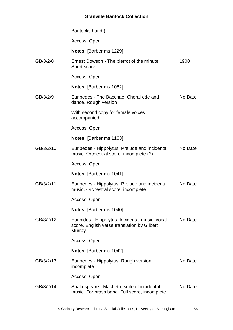|           | Bantocks hand.)                                                                                          |         |
|-----------|----------------------------------------------------------------------------------------------------------|---------|
|           | Access: Open                                                                                             |         |
|           | <b>Notes:</b> [Barber ms 1229]                                                                           |         |
| GB/3/2/8  | Ernest Dowson - The pierrot of the minute.<br>Short score                                                | 1908    |
|           | Access: Open                                                                                             |         |
|           | Notes: [Barber ms 1082]                                                                                  |         |
| GB/3/2/9  | Euripedes - The Bacchae. Choral ode and<br>dance. Rough version                                          | No Date |
|           | With second copy for female voices<br>accompanied.                                                       |         |
|           | Access: Open                                                                                             |         |
|           | <b>Notes:</b> [Barber ms 1163]                                                                           |         |
| GB/3/2/10 | Euripedes - Hippolytus. Prelude and incidental<br>music. Orchestral score, incomplete (?)                | No Date |
|           | Access: Open                                                                                             |         |
|           | <b>Notes:</b> [Barber ms 1041]                                                                           |         |
| GB/3/2/11 | Euripedes - Hippolytus. Prelude and incidental<br>music. Orchestral score, incomplete                    | No Date |
|           | Access: Open                                                                                             |         |
|           | Notes: [Barber ms 1040]                                                                                  |         |
| GB/3/2/12 | Euripides - Hippolytus. Incidental music, vocal<br>score. English verse translation by Gilbert<br>Murray | No Date |
|           | Access: Open                                                                                             |         |
|           | Notes: [Barber ms 1042]                                                                                  |         |
| GB/3/2/13 | Euripedes - Hippolytus. Rough version,<br>incomplete                                                     | No Date |
|           | Access: Open                                                                                             |         |
| GB/3/2/14 | Shakespeare - Macbeth, suite of incidental<br>music. For brass band. Full score, incomplete              | No Date |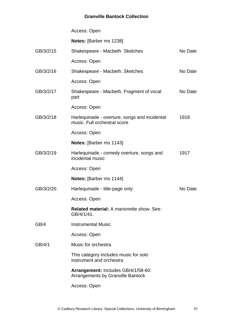|           | Access: Open                                                                    |         |
|-----------|---------------------------------------------------------------------------------|---------|
|           | <b>Notes:</b> [Barber ms 1238]                                                  |         |
| GB/3/2/15 | Shakespeare - Macbeth. Sketches                                                 | No Date |
|           | Access: Open                                                                    |         |
| GB/3/2/16 | Shakespeare - Macbeth. Sketches                                                 | No Date |
|           | Access: Open                                                                    |         |
| GB/3/2/17 | Shakespeare - Macbeth. Fragment of vocal<br>part                                | No Date |
|           | Access: Open                                                                    |         |
| GB/3/2/18 | Harlequinade - overture, songs and incidental<br>music. Full orchestral score   | 1918    |
|           | Access: Open                                                                    |         |
|           | <b>Notes:</b> [Barber ms 1143]                                                  |         |
| GB/3/2/19 | Harlequinade - comedy overture, songs and<br>incidental music                   | 1917    |
|           | Access: Open                                                                    |         |
|           | <b>Notes:</b> [Barber ms 1144]                                                  |         |
| GB/3/2/20 | Harlequinade - title-page only                                                  | No Date |
|           | Access: Open                                                                    |         |
|           | <b>Related material:</b> A marionette show. See:<br>GB/4/1/41.                  |         |
| GB/4      | <b>Instrumental Music</b>                                                       |         |
|           | Access: Open                                                                    |         |
| GB/4/1    | Music for orchestra                                                             |         |
|           | This category includes music for solo<br>instrument and orchestra               |         |
|           | Arrangement: Includes GB/4/1/58-60:<br><b>Arrangements by Granville Bantock</b> |         |
|           | Access: Open                                                                    |         |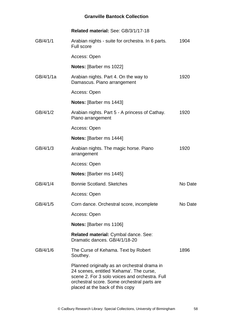|           | Related material: See: GB/3/1/17-18                                                                                                                                                                                          |         |
|-----------|------------------------------------------------------------------------------------------------------------------------------------------------------------------------------------------------------------------------------|---------|
| GB/4/1/1  | Arabian nights - suite for orchestra. In 6 parts.<br><b>Full score</b>                                                                                                                                                       | 1904    |
|           | Access: Open                                                                                                                                                                                                                 |         |
|           | Notes: [Barber ms 1022]                                                                                                                                                                                                      |         |
| GB/4/1/1a | Arabian nights. Part 4. On the way to<br>Damascus. Piano arrangement                                                                                                                                                         | 1920    |
|           | Access: Open                                                                                                                                                                                                                 |         |
|           | <b>Notes:</b> [Barber ms 1443]                                                                                                                                                                                               |         |
| GB/4/1/2  | Arabian nights. Part 5 - A princess of Cathay.<br>Piano arrangement                                                                                                                                                          | 1920    |
|           | Access: Open                                                                                                                                                                                                                 |         |
|           | <b>Notes:</b> [Barber ms 1444]                                                                                                                                                                                               |         |
| GB/4/1/3  | Arabian nights. The magic horse. Piano<br>arrangement                                                                                                                                                                        | 1920    |
|           | Access: Open                                                                                                                                                                                                                 |         |
|           | <b>Notes:</b> [Barber ms 1445]                                                                                                                                                                                               |         |
| GB/4/1/4  | <b>Bonnie Scotland. Sketches</b>                                                                                                                                                                                             | No Date |
|           | Access: Open                                                                                                                                                                                                                 |         |
| GB/4/1/5  | Corn dance. Orchestral score, incomplete                                                                                                                                                                                     | No Date |
|           | Access: Open                                                                                                                                                                                                                 |         |
|           | <b>Notes:</b> [Barber ms 1106]                                                                                                                                                                                               |         |
|           | Related material: Cymbal dance. See:<br>Dramatic dances, GB/4/1/18-20                                                                                                                                                        |         |
| GB/4/1/6  | The Curse of Kehama. Text by Robert<br>Southey.                                                                                                                                                                              | 1896    |
|           | Planned originally as an orchestral drama in<br>24 scenes, entitled 'Kehama'. The curse,<br>scene 2. For 3 solo voices and orchestra. Full<br>orchestral score. Some orchestral parts are<br>placed at the back of this copy |         |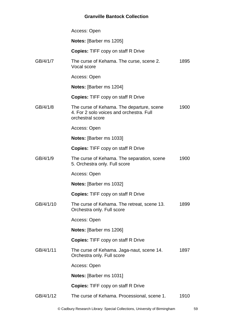|           | Access: Open                                                                                              |      |
|-----------|-----------------------------------------------------------------------------------------------------------|------|
|           | <b>Notes:</b> [Barber ms 1205]                                                                            |      |
|           | <b>Copies: TIFF copy on staff R Drive</b>                                                                 |      |
| GB/4/1/7  | The curse of Kehama. The curse, scene 2.<br>Vocal score                                                   | 1895 |
|           | Access: Open                                                                                              |      |
|           | <b>Notes:</b> [Barber ms 1204]                                                                            |      |
|           | <b>Copies:</b> TIFF copy on staff R Drive                                                                 |      |
| GB/4/1/8  | The curse of Kehama. The departure, scene<br>4. For 2 solo voices and orchestra. Full<br>orchestral score | 1900 |
|           | Access: Open                                                                                              |      |
|           | <b>Notes:</b> [Barber ms 1033]                                                                            |      |
|           | <b>Copies:</b> TIFF copy on staff R Drive                                                                 |      |
| GB/4/1/9  | The curse of Kehama. The separation, scene<br>5. Orchestra only. Full score                               | 1900 |
|           | Access: Open                                                                                              |      |
|           | Notes: [Barber ms 1032]                                                                                   |      |
|           | <b>Copies:</b> TIFF copy on staff R Drive                                                                 |      |
| GB/4/1/10 | The curse of Kehama. The retreat, scene 13.<br>Orchestra only. Full score                                 | 1899 |
|           | Access: Open                                                                                              |      |
|           | <b>Notes:</b> [Barber ms 1206]                                                                            |      |
|           | <b>Copies:</b> TIFF copy on staff R Drive                                                                 |      |
| GB/4/1/11 | The curse of Kehama. Jaga-naut, scene 14.<br>Orchestra only. Full score                                   | 1897 |
|           | Access: Open                                                                                              |      |
|           | <b>Notes:</b> [Barber ms 1031]                                                                            |      |
|           | <b>Copies: TIFF copy on staff R Drive</b>                                                                 |      |
| GB/4/1/12 | The curse of Kehama. Processional, scene 1.                                                               | 1910 |
|           |                                                                                                           |      |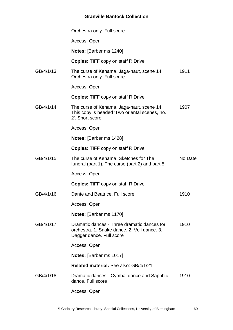|           | Orchestra only. Full score                                                                                              |         |
|-----------|-------------------------------------------------------------------------------------------------------------------------|---------|
|           | Access: Open                                                                                                            |         |
|           | <b>Notes:</b> [Barber ms 1240]                                                                                          |         |
|           | <b>Copies: TIFF copy on staff R Drive</b>                                                                               |         |
| GB/4/1/13 | The curse of Kehama. Jaga-haut, scene 14.<br>Orchestra only. Full score                                                 | 1911    |
|           | Access: Open                                                                                                            |         |
|           | <b>Copies:</b> TIFF copy on staff R Drive                                                                               |         |
| GB/4/1/14 | The curse of Kehama. Jaga-naut, scene 14.<br>This copy is headed 'Two oriental scenes, no.<br>2'. Short score           | 1907    |
|           | Access: Open                                                                                                            |         |
|           | <b>Notes:</b> [Barber ms 1428]                                                                                          |         |
|           | <b>Copies: TIFF copy on staff R Drive</b>                                                                               |         |
| GB/4/1/15 | The curse of Kehama. Sketches for The<br>funeral (part 1), The curse (part 2) and part 5                                | No Date |
|           | Access: Open                                                                                                            |         |
|           | <b>Copies:</b> TIFF copy on staff R Drive                                                                               |         |
| GB/4/1/16 | Dante and Beatrice. Full score                                                                                          | 1910    |
|           | Access: Open                                                                                                            |         |
|           | <b>Notes:</b> [Barber ms 1170]                                                                                          |         |
| GB/4/1/17 | Dramatic dances - Three dramatic dances for<br>orchestra, 1. Snake dance, 2. Veil dance, 3.<br>Dagger dance. Full score | 1910    |
|           | Access: Open                                                                                                            |         |
|           | <b>Notes:</b> [Barber ms 1017]                                                                                          |         |
|           | Related material: See also: GB/4/1/21                                                                                   |         |
| GB/4/1/18 | Dramatic dances - Cymbal dance and Sapphic<br>dance. Full score                                                         | 1910    |
|           | Access: Open                                                                                                            |         |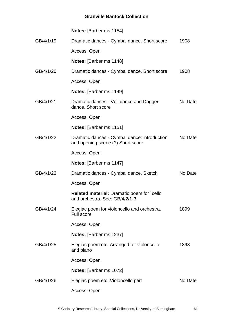|           | <b>Notes:</b> [Barber ms 1154]                                                      |         |
|-----------|-------------------------------------------------------------------------------------|---------|
| GB/4/1/19 | Dramatic dances - Cymbal dance. Short score                                         | 1908    |
|           | Access: Open                                                                        |         |
|           | <b>Notes:</b> [Barber ms 1148]                                                      |         |
| GB/4/1/20 | Dramatic dances - Cymbal dance. Short score                                         | 1908    |
|           | Access: Open                                                                        |         |
|           | <b>Notes:</b> [Barber ms 1149]                                                      |         |
| GB/4/1/21 | Dramatic dances - Veil dance and Dagger<br>dance. Short score                       | No Date |
|           | Access: Open                                                                        |         |
|           | Notes: [Barber ms 1151]                                                             |         |
| GB/4/1/22 | Dramatic dances - Cymbal dance: introduction<br>and opening scene (?) Short score   | No Date |
|           | Access: Open                                                                        |         |
|           | <b>Notes:</b> [Barber ms 1147]                                                      |         |
| GB/4/1/23 | Dramatic dances - Cymbal dance. Sketch                                              | No Date |
|           | Access: Open                                                                        |         |
|           | <b>Related material:</b> Dramatic poem for `cello<br>and orchestra. See: GB/4/2/1-3 |         |
| GB/4/1/24 | Elegiac poem for violoncello and orchestra.<br><b>Full score</b>                    | 1899    |
|           | Access: Open                                                                        |         |
|           | Notes: [Barber ms 1237]                                                             |         |
| GB/4/1/25 | Elegiac poem etc. Arranged for violoncello<br>and piano                             | 1898    |
|           | Access: Open                                                                        |         |
|           | <b>Notes:</b> [Barber ms 1072]                                                      |         |
| GB/4/1/26 | Elegiac poem etc. Violoncello part                                                  | No Date |
|           | Access: Open                                                                        |         |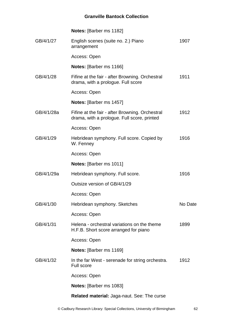|            | Notes: [Barber ms 1182]                                                                        |         |
|------------|------------------------------------------------------------------------------------------------|---------|
| GB/4/1/27  | English scenes (suite no. 2.) Piano<br>arrangement                                             | 1907    |
|            | Access: Open                                                                                   |         |
|            | <b>Notes:</b> [Barber ms 1166]                                                                 |         |
| GB/4/1/28  | Fifine at the fair - after Browning. Orchestral<br>drama, with a prologue. Full score          | 1911    |
|            | Access: Open                                                                                   |         |
|            | <b>Notes:</b> [Barber ms 1457]                                                                 |         |
| GB/4/1/28a | Fifine at the fair - after Browning. Orchestral<br>drama, with a prologue. Full score, printed | 1912    |
|            | Access: Open                                                                                   |         |
| GB/4/1/29  | Hebridean symphony. Full score. Copied by<br>W. Fenney                                         | 1916    |
|            | Access: Open                                                                                   |         |
|            | Notes: [Barber ms 1011]                                                                        |         |
| GB/4/1/29a | Hebridean symphony. Full score.                                                                | 1916    |
|            | Outsize version of GB/4/1/29                                                                   |         |
|            | Access: Open                                                                                   |         |
| GB/4/1/30  | Hebridean symphony. Sketches                                                                   | No Date |
|            | Access: Open                                                                                   |         |
| GB/4/1/31  | Helena - orchestral variations on the theme<br>H.F.B. Short score arranged for piano           | 1899    |
|            | Access: Open                                                                                   |         |
|            | <b>Notes:</b> [Barber ms 1169]                                                                 |         |
| GB/4/1/32  | In the far West - serenade for string orchestra.<br><b>Full score</b>                          | 1912    |
|            | Access: Open                                                                                   |         |
|            | Notes: [Barber ms 1083]                                                                        |         |
|            | Related material: Jaga-naut. See: The curse                                                    |         |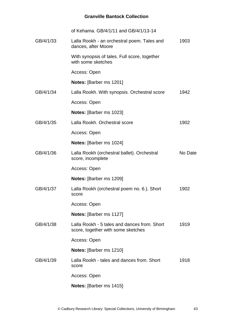|           | of Kehama, GB/4/1/11 and GB/4/1/13-14                                              |         |
|-----------|------------------------------------------------------------------------------------|---------|
| GB/4/1/33 | Lalla Rookh - an orchestral poem. Tales and<br>dances, after Moore                 | 1903    |
|           | With synopsis of tales. Full score, together<br>with some sketches                 |         |
|           | Access: Open                                                                       |         |
|           | <b>Notes:</b> [Barber ms 1201]                                                     |         |
| GB/4/1/34 | Lalla Rookh. With synopsis. Orchestral score                                       | 1942    |
|           | Access: Open                                                                       |         |
|           | <b>Notes:</b> [Barber ms 1023]                                                     |         |
| GB/4/1/35 | Lalla Rookh, Orchestral score                                                      | 1902    |
|           | Access: Open                                                                       |         |
|           | <b>Notes:</b> [Barber ms 1024]                                                     |         |
| GB/4/1/36 | Lalla Rookh (orchestral ballet). Orchestral<br>score, incomplete                   | No Date |
|           | Access: Open                                                                       |         |
|           | Notes: [Barber ms 1209]                                                            |         |
| GB/4/1/37 | Lalla Rookh (orchestral poem no. 6.). Short<br>score                               | 1902    |
|           | Access: Open                                                                       |         |
|           | <b>Notes:</b> [Barber ms 1127]                                                     |         |
| GB/4/1/38 | Lalla Rookh - 5 tales and dances from. Short<br>score, together with some sketches | 1919    |
|           | Access: Open                                                                       |         |
|           | Notes: [Barber ms 1210]                                                            |         |
| GB/4/1/39 | Lalla Rookh - tales and dances from. Short<br>score                                | 1918    |
|           | Access: Open                                                                       |         |
|           | <b>Notes:</b> [Barber ms 1415]                                                     |         |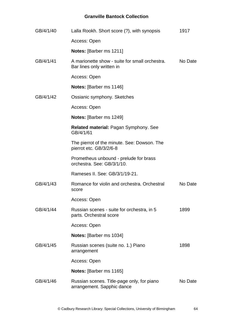| GB/4/1/40 | Lalla Rookh. Short score (?), with synopsis                                 | 1917    |
|-----------|-----------------------------------------------------------------------------|---------|
|           | Access: Open                                                                |         |
|           | <b>Notes:</b> [Barber ms 1211]                                              |         |
| GB/4/1/41 | A marionette show - suite for small orchestra.<br>Bar lines only written in | No Date |
|           | Access: Open                                                                |         |
|           | <b>Notes:</b> [Barber ms 1146]                                              |         |
| GB/4/1/42 | Ossianic symphony. Sketches                                                 |         |
|           | Access: Open                                                                |         |
|           | Notes: [Barber ms 1249]                                                     |         |
|           | <b>Related material: Pagan Symphony. See</b><br>GB/4/1/61                   |         |
|           | The pierrot of the minute. See: Dowson. The<br>pierrot etc. GB/3/2/6-8      |         |
|           | Prometheus unbound - prelude for brass<br>orchestra, See: GB/3/1/10.        |         |
|           | Rameses II, See: GB/3/1/19-21.                                              |         |
| GB/4/1/43 | Romance for violin and orchestra. Orchestral<br>score                       | No Date |
|           | Access: Open                                                                |         |
| GB/4/1/44 | Russian scenes - suite for orchestra, in 5<br>parts. Orchestral score       | 1899    |
|           | Access: Open                                                                |         |
|           | <b>Notes:</b> [Barber ms 1034]                                              |         |
| GB/4/1/45 | Russian scenes (suite no. 1.) Piano<br>arrangement                          | 1898    |
|           | Access: Open                                                                |         |
|           | <b>Notes:</b> [Barber ms 1165]                                              |         |
| GB/4/1/46 | Russian scenes. Title-page only, for piano<br>arrangement. Sapphic dance    | No Date |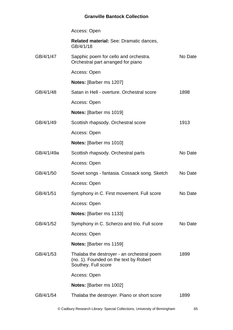|            | Access: Open                                                                                                |         |
|------------|-------------------------------------------------------------------------------------------------------------|---------|
|            | Related material: See: Dramatic dances,<br>GB/4/1/18                                                        |         |
| GB/4/1/47  | Sapphic poem for cello and orchestra.<br>Orchestral part arranged for piano                                 | No Date |
|            | Access: Open                                                                                                |         |
|            | <b>Notes:</b> [Barber ms 1207]                                                                              |         |
| GB/4/1/48  | Satan in Hell - overture. Orchestral score                                                                  | 1898    |
|            | Access: Open                                                                                                |         |
|            | <b>Notes:</b> [Barber ms 1019]                                                                              |         |
| GB/4/1/49  | Scottish rhapsody. Orchestral score                                                                         | 1913    |
|            | Access: Open                                                                                                |         |
|            | Notes: [Barber ms 1010]                                                                                     |         |
| GB/4/1/49a | Scottish rhapsody. Orchestral parts                                                                         | No Date |
|            | Access: Open                                                                                                |         |
| GB/4/1/50  | Soviet songs - fantasia. Cossack song. Sketch                                                               | No Date |
|            | Access: Open                                                                                                |         |
| GB/4/1/51  | Symphony in C. First movement. Full score                                                                   | No Date |
|            | Access: Open                                                                                                |         |
|            | <b>Notes:</b> [Barber ms 1133]                                                                              |         |
| GB/4/1/52  | Symphony in C. Scherzo and trio. Full score                                                                 | No Date |
|            | Access: Open                                                                                                |         |
|            | <b>Notes:</b> [Barber ms 1159]                                                                              |         |
| GB/4/1/53  | Thalaba the destroyer - an orchestral poem<br>(no. 1). Founded on the text by Robert<br>Southey. Full score | 1899    |
|            | Access: Open                                                                                                |         |
|            | <b>Notes:</b> [Barber ms 1002]                                                                              |         |
| GB/4/1/54  | Thalaba the destroyer. Piano or short score                                                                 | 1899    |
|            |                                                                                                             |         |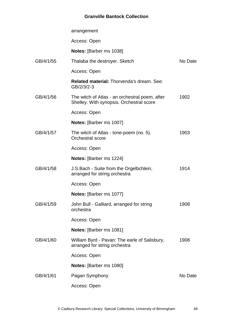|           | arrangement                                                                                |         |
|-----------|--------------------------------------------------------------------------------------------|---------|
|           | Access: Open                                                                               |         |
|           | Notes: [Barber ms 1038]                                                                    |         |
| GB/4/1/55 | Thalaba the destroyer. Sketch                                                              | No Date |
|           | Access: Open                                                                               |         |
|           | <b>Related material: Thorvenda's dream. See:</b><br>GB/2/3/2-3                             |         |
| GB/4/1/56 | The witch of Atlas - an orchestral poem, after<br>Shelley. With synopsis. Orchestral score | 1902    |
|           | Access: Open                                                                               |         |
|           | Notes: [Barber ms 1007]                                                                    |         |
| GB/4/1/57 | The witch of Atlas - tone-poem (no. 5).<br>Orchestral score                                | 1903    |
|           | Access: Open                                                                               |         |
|           | <b>Notes:</b> [Barber ms 1224]                                                             |         |
| GB/4/1/58 | J.S.Bach - Suite from the Orgelbchlein,<br>arranged for string orchestra                   | 1914    |
|           | Access: Open                                                                               |         |
|           | Notes: [Barber ms 1077]                                                                    |         |
| GB/4/1/59 | John Bull - Galliard, arranged for string<br>orchestra                                     | 1908    |
|           | Access: Open                                                                               |         |
|           | Notes: [Barber ms 1081]                                                                    |         |
| GB/4/1/60 | William Byrd - Pavan: The earle of Salisbury,<br>arranged for string orchestra             | 1908    |
|           | Access: Open                                                                               |         |
|           | Notes: [Barber ms 1080]                                                                    |         |
| GB/4/1/61 | Pagan Symphony                                                                             | No Date |
|           | Access: Open                                                                               |         |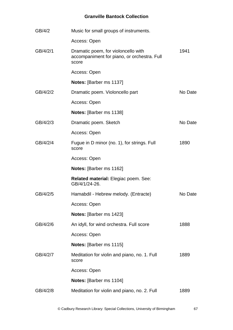| GB/4/2   | Music for small groups of instruments.                                                      |         |
|----------|---------------------------------------------------------------------------------------------|---------|
|          | Access: Open                                                                                |         |
| GB/4/2/1 | Dramatic poem, for violoncello with<br>accompaniment for piano, or orchestra. Full<br>score | 1941    |
|          | Access: Open                                                                                |         |
|          | Notes: [Barber ms 1137]                                                                     |         |
| GB/4/2/2 | Dramatic poem. Violoncello part                                                             | No Date |
|          | Access: Open                                                                                |         |
|          | Notes: [Barber ms 1138]                                                                     |         |
| GB/4/2/3 | Dramatic poem. Sketch                                                                       | No Date |
|          | Access: Open                                                                                |         |
| GB/4/2/4 | Fugue in D minor (no. 1), for strings. Full<br>score                                        | 1890    |
|          | Access: Open                                                                                |         |
|          | <b>Notes:</b> [Barber ms 1162]                                                              |         |
|          | Related material: Elegiac poem. See:<br>GB/4/1/24-26.                                       |         |
| GB/4/2/5 | Hamabdil - Hebrew melody. (Entracte)                                                        | No Date |
|          | Access: Open                                                                                |         |
|          | Notes: [Barber ms 1423]                                                                     |         |
| GB/4/2/6 | An idyll, for wind orchestra. Full score                                                    | 1888    |
|          | Access: Open                                                                                |         |
|          | <b>Notes:</b> [Barber ms 1115]                                                              |         |
| GB/4/2/7 | Meditation for violin and piano, no. 1. Full<br>score                                       | 1889    |
|          | Access: Open                                                                                |         |
|          | <b>Notes:</b> [Barber ms 1104]                                                              |         |
| GB/4/2/8 | Meditation for violin and piano, no. 2. Full                                                | 1889    |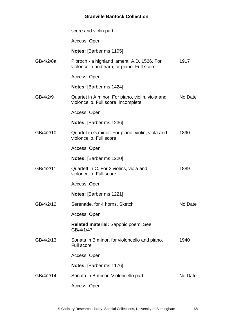|           | score and violin part                                                                     |         |
|-----------|-------------------------------------------------------------------------------------------|---------|
|           | Access: Open                                                                              |         |
|           | Notes: [Barber ms 1105]                                                                   |         |
| GB/4/2/8a | Pibroch - a highland lament, A.D. 1526. For<br>violoncello and harp, or piano. Full score | 1917    |
|           | Access: Open                                                                              |         |
|           | <b>Notes:</b> [Barber ms 1424]                                                            |         |
| GB/4/2/9  | Quartet in A minor. For piano, violin, viola and<br>violoncello. Full score, incomplete   | No Date |
|           | Access: Open                                                                              |         |
|           | <b>Notes:</b> [Barber ms 1236]                                                            |         |
| GB/4/2/10 | Quartet in G minor. For piano, violin, viola and<br>violoncello. Full score               | 1890    |
|           | Access: Open                                                                              |         |
|           | <b>Notes:</b> [Barber ms 1220]                                                            |         |
| GB/4/2/11 | Quartett in C. For 2 violins, viola and<br>violoncello. Full score                        | 1889    |
|           | Access: Open                                                                              |         |
|           | <b>Notes:</b> [Barber ms 1221]                                                            |         |
| GB/4/2/12 | Serenade, for 4 horns. Sketch                                                             | No Date |
|           | Access: Open                                                                              |         |
|           | Related material: Sapphic poem. See:<br>GB/4/1/47                                         |         |
| GB/4/2/13 | Sonata in B minor, for violoncello and piano.<br><b>Full score</b>                        | 1940    |
|           | Access: Open                                                                              |         |
|           | <b>Notes:</b> [Barber ms 1176]                                                            |         |
| GB/4/2/14 | Sonata in B minor. Violoncello part                                                       | No Date |
|           | Access: Open                                                                              |         |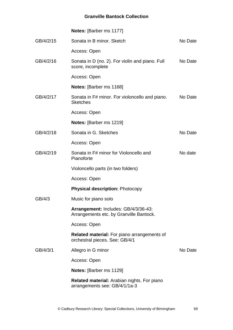|           | <b>Notes:</b> [Barber ms 1177]                                                      |         |
|-----------|-------------------------------------------------------------------------------------|---------|
| GB/4/2/15 | Sonata in B minor. Sketch                                                           | No Date |
|           | Access: Open                                                                        |         |
| GB/4/2/16 | Sonata in D (no. 2). For violin and piano. Full<br>score, incomplete                | No Date |
|           | Access: Open                                                                        |         |
|           | <b>Notes:</b> [Barber ms 1168]                                                      |         |
| GB/4/2/17 | Sonata in F# minor. For violoncello and piano.<br><b>Sketches</b>                   | No Date |
|           | Access: Open                                                                        |         |
|           | <b>Notes:</b> [Barber ms 1219]                                                      |         |
| GB/4/2/18 | Sonata in G. Sketches                                                               | No Date |
|           | Access: Open                                                                        |         |
| GB/4/2/19 | Sonata in F# minor for Violoncello and<br>Pianoforte                                | No date |
|           | Violoncello parts (in two folders)                                                  |         |
|           | Access: Open                                                                        |         |
|           | <b>Physical description: Photocopy</b>                                              |         |
| GB/4/3    | Music for piano solo                                                                |         |
|           | Arrangement: Includes: GB/4/3/36-43:<br>Arrangements etc. by Granville Bantock.     |         |
|           | Access: Open                                                                        |         |
|           | Related material: For piano arrangements of<br>orchestral pieces. See: GB/4/1       |         |
| GB/4/3/1  | Allegro in G minor                                                                  | No Date |
|           | Access: Open                                                                        |         |
|           | <b>Notes:</b> [Barber ms 1129]                                                      |         |
|           | <b>Related material:</b> Arabian nights. For piano<br>arrangements see: GB/4/1/1a-3 |         |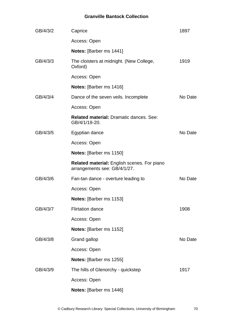| GB/4/3/2 | Caprice                                                                            | 1897    |
|----------|------------------------------------------------------------------------------------|---------|
|          | Access: Open                                                                       |         |
|          | Notes: [Barber ms 1441]                                                            |         |
| GB/4/3/3 | The cloisters at midnight. (New College,<br>Oxford)                                | 1919    |
|          | Access: Open                                                                       |         |
|          | <b>Notes:</b> [Barber ms 1416]                                                     |         |
| GB/4/3/4 | Dance of the seven veils. Incomplete                                               | No Date |
|          | Access: Open                                                                       |         |
|          | <b>Related material: Dramatic dances, See:</b><br>GB/4/1/19-20.                    |         |
| GB/4/3/5 | Egyptian dance                                                                     | No Date |
|          | Access: Open                                                                       |         |
|          | <b>Notes:</b> [Barber ms 1150]                                                     |         |
|          | <b>Related material: English scenes. For piano</b><br>arrangements see: GB/4/1/27. |         |
| GB/4/3/6 | Fan-tan dance - overture leading to                                                | No Date |
|          | Access: Open                                                                       |         |
|          | <b>Notes:</b> [Barber ms 1153]                                                     |         |
| GB/4/3/7 | <b>Flirtation dance</b>                                                            | 1908    |
|          | Access: Open                                                                       |         |
|          | <b>Notes:</b> [Barber ms 1152]                                                     |         |
| GB/4/3/8 | Grand gallop                                                                       | No Date |
|          | Access: Open                                                                       |         |
|          | Notes: [Barber ms 1255]                                                            |         |
| GB/4/3/9 | The hills of Glenorchy - quickstep                                                 | 1917    |
|          | Access: Open                                                                       |         |
|          | Notes: [Barber ms 1446]                                                            |         |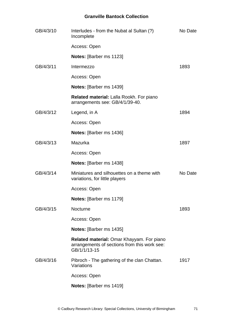| GB/4/3/10 | Interludes - from the Nubat al Sultan (?)<br>Incomplete                                                   | No Date |
|-----------|-----------------------------------------------------------------------------------------------------------|---------|
|           | Access: Open                                                                                              |         |
|           | <b>Notes: [Barber ms 1123]</b>                                                                            |         |
| GB/4/3/11 | Intermezzo                                                                                                | 1893    |
|           | Access: Open                                                                                              |         |
|           | <b>Notes:</b> [Barber ms 1439]                                                                            |         |
|           | Related material: Lalla Rookh. For piano<br>arrangements see: GB/4/1/39-40.                               |         |
| GB/4/3/12 | Legend, in A                                                                                              | 1894    |
|           | Access: Open                                                                                              |         |
|           | <b>Notes:</b> [Barber ms 1436]                                                                            |         |
| GB/4/3/13 | Mazurka                                                                                                   | 1897    |
|           | Access: Open                                                                                              |         |
|           | <b>Notes:</b> [Barber ms 1438]                                                                            |         |
| GB/4/3/14 | Miniatures and silhouettes on a theme with<br>variations, for little players                              | No Date |
|           | Access: Open                                                                                              |         |
|           | <b>Notes:</b> [Barber ms 1179]                                                                            |         |
| GB/4/3/15 | Nocturne                                                                                                  | 1893    |
|           | Access: Open                                                                                              |         |
|           | Notes: [Barber ms 1435]                                                                                   |         |
|           | Related material: Omar Khayyam. For piano<br>arrangements of sections from this work see:<br>GB/1/1/13-15 |         |
| GB/4/3/16 | Pibroch - The gathering of the clan Chattan.<br>Variations                                                | 1917    |
|           | Access: Open                                                                                              |         |
|           | Notes: [Barber ms 1419]                                                                                   |         |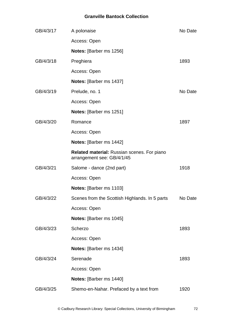| GB/4/3/17 | A polonaise                                                               | No Date |
|-----------|---------------------------------------------------------------------------|---------|
|           | Access: Open                                                              |         |
|           | Notes: [Barber ms 1256]                                                   |         |
| GB/4/3/18 | Preghiera                                                                 | 1893    |
|           | Access: Open                                                              |         |
|           | Notes: [Barber ms 1437]                                                   |         |
| GB/4/3/19 | Prelude, no. 1                                                            | No Date |
|           | Access: Open                                                              |         |
|           | Notes: [Barber ms 1251]                                                   |         |
| GB/4/3/20 | Romance                                                                   | 1897    |
|           | Access: Open                                                              |         |
|           | <b>Notes:</b> [Barber ms 1442]                                            |         |
|           | Related material: Russian scenes. For piano<br>arrangement see: GB/4/1/45 |         |
| GB/4/3/21 | Salome - dance (2nd part)                                                 | 1918    |
|           | Access: Open                                                              |         |
|           | Notes: [Barber ms 1103]                                                   |         |
| GB/4/3/22 | Scenes from the Scottish Highlands. In 5 parts                            | No Date |
|           | Access: Open                                                              |         |
|           | Notes: [Barber ms 1045]                                                   |         |
| GB/4/3/23 | Scherzo                                                                   | 1893    |
|           | Access: Open                                                              |         |
|           | Notes: [Barber ms 1434]                                                   |         |
| GB/4/3/24 | Serenade                                                                  | 1893    |
|           | Access: Open                                                              |         |
|           | Notes: [Barber ms 1440]                                                   |         |
| GB/4/3/25 | Shemo-en-Nahar. Prefaced by a text from                                   | 1920    |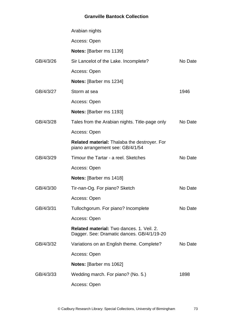|           | Arabian nights                                                                                 |         |
|-----------|------------------------------------------------------------------------------------------------|---------|
|           | Access: Open                                                                                   |         |
|           | <b>Notes:</b> [Barber ms 1139]                                                                 |         |
| GB/4/3/26 | Sir Lancelot of the Lake. Incomplete?                                                          | No Date |
|           | Access: Open                                                                                   |         |
|           | Notes: [Barber ms 1234]                                                                        |         |
| GB/4/3/27 | Storm at sea                                                                                   | 1946    |
|           | Access: Open                                                                                   |         |
|           | Notes: [Barber ms 1193]                                                                        |         |
| GB/4/3/28 | Tales from the Arabian nights. Title-page only                                                 | No Date |
|           | Access: Open                                                                                   |         |
|           | <b>Related material:</b> Thalaba the destroyer. For<br>piano arrangement see: GB/4/1/54        |         |
| GB/4/3/29 | Timour the Tartar - a reel. Sketches                                                           | No Date |
|           | Access: Open                                                                                   |         |
|           | <b>Notes:</b> [Barber ms 1418]                                                                 |         |
| GB/4/3/30 | Tir-nan-Og. For piano? Sketch                                                                  | No Date |
|           | Access: Open                                                                                   |         |
| GB/4/3/31 | Tullochgorum. For piano? Incomplete                                                            | No Date |
|           | Access: Open                                                                                   |         |
|           | <b>Related material:</b> Two dances, 1, Veil, 2.<br>Dagger. See: Dramatic dances. GB/4/1/19-20 |         |
| GB/4/3/32 | Variations on an English theme. Complete?                                                      | No Date |
|           | Access: Open                                                                                   |         |
|           | <b>Notes:</b> [Barber ms 1062]                                                                 |         |
| GB/4/3/33 | Wedding march. For piano? (No. 5.)                                                             | 1898    |
|           | Access: Open                                                                                   |         |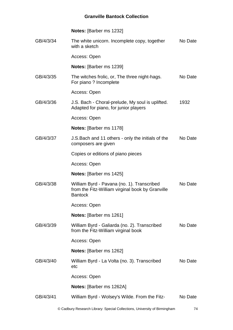|           | <b>Notes: [Barber ms 1232]</b>                                                                                   |         |
|-----------|------------------------------------------------------------------------------------------------------------------|---------|
| GB/4/3/34 | The white unicorn. Incomplete copy, together<br>with a sketch                                                    | No Date |
|           | Access: Open                                                                                                     |         |
|           | <b>Notes:</b> [Barber ms 1239]                                                                                   |         |
| GB/4/3/35 | The witches frolic, or, The three night-hags.<br>For piano? Incomplete                                           | No Date |
|           | Access: Open                                                                                                     |         |
| GB/4/3/36 | J.S. Bach - Choral-prelude, My soul is uplifted.<br>Adapted for piano, for junior players                        | 1932    |
|           | Access: Open                                                                                                     |         |
|           | <b>Notes:</b> [Barber ms 1178]                                                                                   |         |
| GB/4/3/37 | J.S. Bach and 11 others - only the initials of the<br>composers are given                                        | No Date |
|           | Copies or editions of piano pieces                                                                               |         |
|           | Access: Open                                                                                                     |         |
|           | <b>Notes:</b> [Barber ms 1425]                                                                                   |         |
| GB/4/3/38 | William Byrd - Pavana (no. 1). Transcribed<br>from the Fitz-William virginal book by Granville<br><b>Bantock</b> | No Date |
|           | Access: Open                                                                                                     |         |
|           | <b>Notes:</b> [Barber ms 1261]                                                                                   |         |
| GB/4/3/39 | William Byrd - Galiarda (no. 2). Transcribed<br>from the Fitz-William virginal book                              | No Date |
|           | Access: Open                                                                                                     |         |
|           | Notes: [Barber ms 1262]                                                                                          |         |
| GB/4/3/40 | William Byrd - La Volta (no. 3). Transcribed<br>etc                                                              | No Date |
|           | Access: Open                                                                                                     |         |
|           | <b>Notes:</b> [Barber ms 1262A]                                                                                  |         |
| GB/4/3/41 | William Byrd - Wolsey's Wilde. From the Fitz-                                                                    | No Date |
|           |                                                                                                                  |         |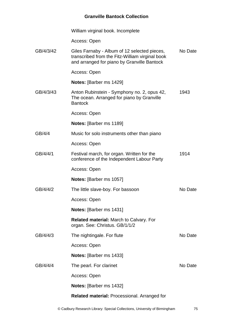William virginal book. Incomplete

Access: Open

| GB/4/3/42 | Giles Farnaby - Album of 12 selected pieces,<br>transcribed from the Fitz-William virginal book<br>and arranged for piano by Granville Bantock | No Date |
|-----------|------------------------------------------------------------------------------------------------------------------------------------------------|---------|
|           | Access: Open                                                                                                                                   |         |
|           | <b>Notes:</b> [Barber ms 1429]                                                                                                                 |         |
| GB/4/3/43 | Anton Rubinstein - Symphony no. 2, opus 42,<br>The ocean. Arranged for piano by Granville<br><b>Bantock</b>                                    | 1943    |
|           | Access: Open                                                                                                                                   |         |
|           | <b>Notes:</b> [Barber ms 1189]                                                                                                                 |         |
| GB/4/4    | Music for solo instruments other than piano                                                                                                    |         |
|           | Access: Open                                                                                                                                   |         |
| GB/4/4/1  | Festival march, for organ. Written for the<br>conference of the Independent Labour Party                                                       | 1914    |
|           | Access: Open                                                                                                                                   |         |
|           | <b>Notes:</b> [Barber ms 1057]                                                                                                                 |         |
| GB/4/4/2  | The little slave-boy. For bassoon                                                                                                              | No Date |
|           | Access: Open                                                                                                                                   |         |
|           | Notes: [Barber ms 1431]                                                                                                                        |         |
|           | <b>Related material: March to Calvary. For</b><br>organ. See: Christus. GB/1/1/2                                                               |         |
| GB/4/4/3  | The nightingale. For flute                                                                                                                     | No Date |
|           | Access: Open                                                                                                                                   |         |
|           | Notes: [Barber ms 1433]                                                                                                                        |         |
| GB/4/4/4  | The pearl. For clarinet                                                                                                                        | No Date |
|           | Access: Open                                                                                                                                   |         |
|           | <b>Notes:</b> [Barber ms 1432]                                                                                                                 |         |
|           | <b>Related material: Processional. Arranged for</b>                                                                                            |         |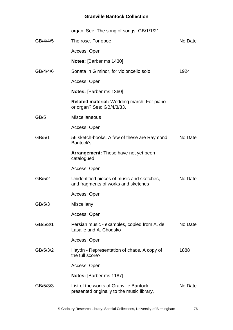|          | organ. See: The song of songs. GB/1/1/21                                              |         |
|----------|---------------------------------------------------------------------------------------|---------|
| GB/4/4/5 | The rose. For oboe                                                                    | No Date |
|          | Access: Open                                                                          |         |
|          | <b>Notes:</b> [Barber ms 1430]                                                        |         |
| GB/4/4/6 | Sonata in G minor, for violoncello solo                                               | 1924    |
|          | Access: Open                                                                          |         |
|          | Notes: [Barber ms 1360]                                                               |         |
|          | <b>Related material: Wedding march. For piano</b><br>or organ? See: GB/4/3/33.        |         |
| GB/5     | <b>Miscellaneous</b>                                                                  |         |
|          | Access: Open                                                                          |         |
| GB/5/1   | 56 sketch-books. A few of these are Raymond<br>Bantock's                              | No Date |
|          | <b>Arrangement:</b> These have not yet been<br>catalogued.                            |         |
|          | Access: Open                                                                          |         |
| GB/5/2   | Unidentified pieces of music and sketches,<br>and fragments of works and sketches     | No Date |
|          | Access: Open                                                                          |         |
| GB/5/3   | Miscellany                                                                            |         |
|          | Access: Open                                                                          |         |
| GB/5/3/1 | Persian music - examples, copied from A. de<br>Lasalle and A. Chodsko                 | No Date |
|          | Access: Open                                                                          |         |
| GB/5/3/2 | Haydn - Representation of chaos. A copy of<br>the full score?                         | 1888    |
|          | Access: Open                                                                          |         |
|          | <b>Notes:</b> [Barber ms 1187]                                                        |         |
| GB/5/3/3 | List of the works of Granville Bantock,<br>presented originally to the music library, | No Date |
|          |                                                                                       |         |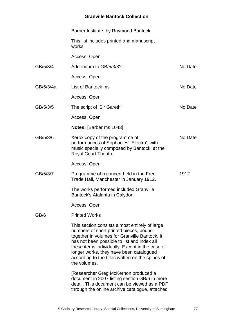|           | Barber Institute, by Raymond Bantock                                                                                                                                                                                                                                                                                                                       |         |
|-----------|------------------------------------------------------------------------------------------------------------------------------------------------------------------------------------------------------------------------------------------------------------------------------------------------------------------------------------------------------------|---------|
|           | This list includes printed and manuscript<br>works                                                                                                                                                                                                                                                                                                         |         |
|           | Access: Open                                                                                                                                                                                                                                                                                                                                               |         |
| GB/5/3/4  | Addendum to GB/5/3/3?                                                                                                                                                                                                                                                                                                                                      | No Date |
|           | Access: Open                                                                                                                                                                                                                                                                                                                                               |         |
| GB/5/3/4a | List of Bantock ms                                                                                                                                                                                                                                                                                                                                         | No Date |
|           | Access: Open                                                                                                                                                                                                                                                                                                                                               |         |
| GB/5/3/5  | The script of 'Sir Gareth'                                                                                                                                                                                                                                                                                                                                 | No Date |
|           | Access: Open                                                                                                                                                                                                                                                                                                                                               |         |
|           | <b>Notes:</b> [Barber ms 1043]                                                                                                                                                                                                                                                                                                                             |         |
| GB/5/3/6  | Xerox copy of the programme of<br>performances of Sophocles' 'Electra', with<br>music specially composed by Bantock, at the<br><b>Royal Court Theatre</b>                                                                                                                                                                                                  | No Date |
|           | Access: Open                                                                                                                                                                                                                                                                                                                                               |         |
| GB/5/3/7  | Programme of a concert held in the Free<br>Trade Hall, Manchester in January 1912.                                                                                                                                                                                                                                                                         | 1912    |
|           | The works performed included Granville<br>Bantock's Atalanta in Calydon.                                                                                                                                                                                                                                                                                   |         |
|           | Access: Open                                                                                                                                                                                                                                                                                                                                               |         |
| GB/6      | <b>Printed Works</b>                                                                                                                                                                                                                                                                                                                                       |         |
|           | This section consists almost entirely of large<br>numbers of short printed pieces, bound<br>together in volumes for Granville Bantock. It<br>has not been possible to list and index all<br>these items individually. Except in the case of<br>longer works, they have been catalogued<br>according to the titles written on the spines of<br>the volumes. |         |
|           | [Researcher Greg McKernon produced a<br>document in 2007 listing section GB/6 in more<br>detail. This document can be viewed as a PDF<br>through the online archive catalogue, attached                                                                                                                                                                    |         |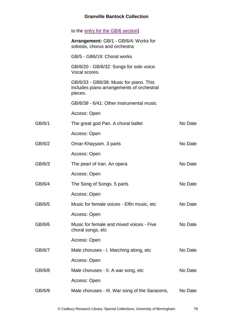|        | to the entry for the GB/6 section].                                                             |         |
|--------|-------------------------------------------------------------------------------------------------|---------|
|        | Arrangement: GB/1 - GB/6/4: Works for<br>soloists, chorus and orchestra                         |         |
|        | GB/5 - GB6/19: Choral works                                                                     |         |
|        | GB/6/20 - GB/6/32: Songs for solo voice.<br>Vocal scores.                                       |         |
|        | GB/6/33 - GB6/38: Music for piano. This<br>includes piano arrangements of orchestral<br>pieces. |         |
|        | GB/6/39 - 6/41: Other instrumental music                                                        |         |
|        | Access: Open                                                                                    |         |
| GB/6/1 | The great god Pan. A choral ballet                                                              | No Date |
|        | Access: Open                                                                                    |         |
| GB/6/2 | Omar Khayyam. 3 parts                                                                           | No Date |
|        | Access: Open                                                                                    |         |
| GB/6/3 | The pearl of Iran. An opera                                                                     | No Date |
|        | Access: Open                                                                                    |         |
| GB/6/4 | The Song of Songs. 5 parts                                                                      | No Date |
|        | Access: Open                                                                                    |         |
| GB/6/5 | Music for female voices - Elfin music, etc                                                      | No Date |
|        | Access: Open                                                                                    |         |
| GB/6/6 | Music for female and mixed voices - Five<br>choral songs, etc                                   | No Date |
|        | Access: Open                                                                                    |         |
| GB/6/7 | Male choruses - I. Marching along, etc                                                          | No Date |
|        | Access: Open                                                                                    |         |
| GB/6/8 | Male choruses - II. A war song, etc                                                             | No Date |
|        | Access: Open                                                                                    |         |
| GB/6/9 | Male choruses - III. War song of the Saracens,                                                  | No Date |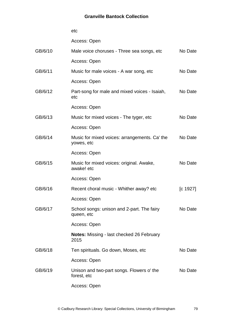Access: Open

| GB/6/10 | Male voice choruses - Three sea songs, etc                  | No Date  |
|---------|-------------------------------------------------------------|----------|
|         | Access: Open                                                |          |
| GB/6/11 | Music for male voices - A war song, etc                     | No Date  |
|         | Access: Open                                                |          |
| GB/6/12 | Part-song for male and mixed voices - Isaiah,<br>etc        | No Date  |
|         | Access: Open                                                |          |
| GB/6/13 | Music for mixed voices - The tyger, etc.                    | No Date  |
|         | Access: Open                                                |          |
| GB/6/14 | Music for mixed voices: arrangements. Ca' the<br>yowes, etc | No Date  |
|         | Access: Open                                                |          |
| GB/6/15 | Music for mixed voices: original. Awake,<br>awake! etc      | No Date  |
|         | Access: Open                                                |          |
| GB/6/16 | Recent choral music - Whither away? etc                     | [c 1927] |
|         | Access: Open                                                |          |
| GB/6/17 | School songs: unison and 2-part. The fairy<br>queen, etc    | No Date  |
|         | Access: Open                                                |          |
|         | Notes: Missing - last checked 26 February<br>2015           |          |
| GB/6/18 | Ten spirituals. Go down, Moses, etc                         | No Date  |
|         | Access: Open                                                |          |
| GB/6/19 | Unison and two-part songs. Flowers o' the<br>forest, etc    | No Date  |
|         | Access: Open                                                |          |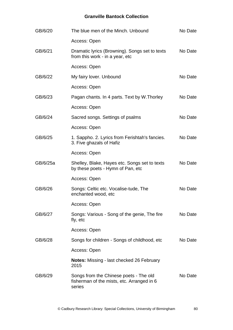| GB/6/20  | The blue men of the Minch. Unbound                                                             | No Date |
|----------|------------------------------------------------------------------------------------------------|---------|
|          | Access: Open                                                                                   |         |
| GB/6/21  | Dramatic lyrics (Browning). Songs set to texts<br>from this work - in a year, etc              | No Date |
|          | Access: Open                                                                                   |         |
| GB/6/22  | My fairy lover. Unbound                                                                        | No Date |
|          | Access: Open                                                                                   |         |
| GB/6/23  | Pagan chants. In 4 parts. Text by W. Thorley                                                   | No Date |
|          | Access: Open                                                                                   |         |
| GB/6/24  | Sacred songs. Settings of psalms                                                               | No Date |
|          | Access: Open                                                                                   |         |
| GB/6/25  | 1. Sappho. 2. Lyrics from Ferishtah's fancies.<br>3. Five ghazals of Hafiz                     | No Date |
|          | Access: Open                                                                                   |         |
| GB/6/25a | Shelley, Blake, Hayes etc. Songs set to texts<br>by these poets - Hymn of Pan, etc             | No Date |
|          | Access: Open                                                                                   |         |
| GB/6/26  | Songs: Celtic etc. Vocalise-tude, The<br>enchanted wood, etc                                   | No Date |
|          | Access: Open                                                                                   |         |
| GB/6/27  | Songs: Various - Song of the genie, The fire<br>fly, etc                                       | No Date |
|          | Access: Open                                                                                   |         |
| GB/6/28  | Songs for children - Songs of childhood, etc                                                   | No Date |
|          | Access: Open                                                                                   |         |
|          | <b>Notes:</b> Missing - last checked 26 February<br>2015                                       |         |
| GB/6/29  | Songs from the Chinese poets - The old<br>fisherman of the mists, etc. Arranged in 6<br>series | No Date |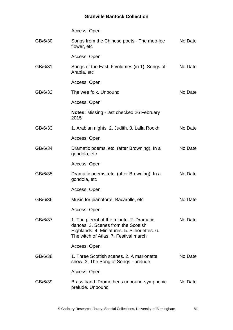|         | Access: Open                                                                                                                                                              |         |
|---------|---------------------------------------------------------------------------------------------------------------------------------------------------------------------------|---------|
| GB/6/30 | Songs from the Chinese poets - The moo-lee<br>flower, etc                                                                                                                 | No Date |
|         | Access: Open                                                                                                                                                              |         |
| GB/6/31 | Songs of the East. 6 volumes (in 1). Songs of<br>Arabia, etc                                                                                                              | No Date |
|         | Access: Open                                                                                                                                                              |         |
| GB/6/32 | The wee folk. Unbound                                                                                                                                                     | No Date |
|         | Access: Open                                                                                                                                                              |         |
|         | <b>Notes:</b> Missing - last checked 26 February<br>2015                                                                                                                  |         |
| GB/6/33 | 1. Arabian nights. 2. Judith. 3. Lalla Rookh                                                                                                                              | No Date |
|         | Access: Open                                                                                                                                                              |         |
| GB/6/34 | Dramatic poems, etc. (after Browning). In a<br>gondola, etc                                                                                                               | No Date |
|         | Access: Open                                                                                                                                                              |         |
| GB/6/35 | Dramatic poems, etc. (after Browning). In a<br>gondola, etc                                                                                                               | No Date |
|         | Access: Open                                                                                                                                                              |         |
| GB/6/36 | Music for pianoforte. Bacarolle, etc.                                                                                                                                     | No Date |
|         | Access: Open                                                                                                                                                              |         |
| GB/6/37 | 1. The pierrot of the minute. 2. Dramatic<br>dances, 3. Scenes from the Scottish<br>Highlands. 4. Miniatures. 5. Silhouettes. 6.<br>The witch of Atlas, 7, Festival march | No Date |
|         | Access: Open                                                                                                                                                              |         |
| GB/6/38 | 1. Three Scottish scenes, 2, A marionette<br>show. 3. The Song of Songs - prelude                                                                                         | No Date |
|         | Access: Open                                                                                                                                                              |         |
| GB/6/39 | Brass band: Prometheus unbound-symphonic<br>prelude. Unbound                                                                                                              | No Date |